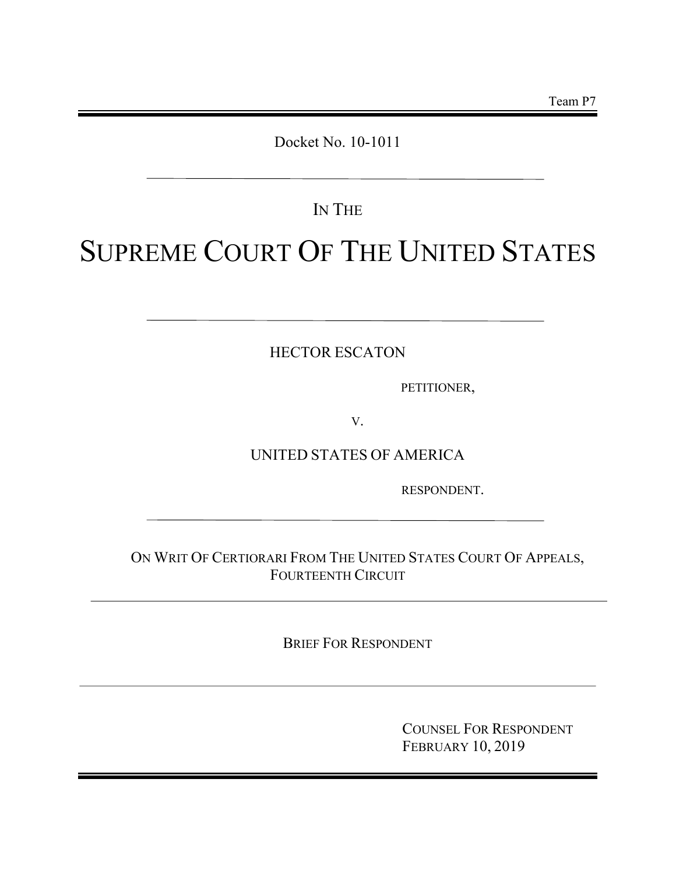## Docket No. 10-1011

## IN THE

# SUPREME COURT OF THE UNITED STATES

HECTOR ESCATON

PETITIONER,

V.

UNITED STATES OF AMERICA

RESPONDENT.

ON WRIT OF CERTIORARI FROM THE UNITED STATES COURT OF APPEALS, FOURTEENTH CIRCUIT

BRIEF FOR RESPONDENT

COUNSEL FOR RESPONDENT FEBRUARY 10, 2019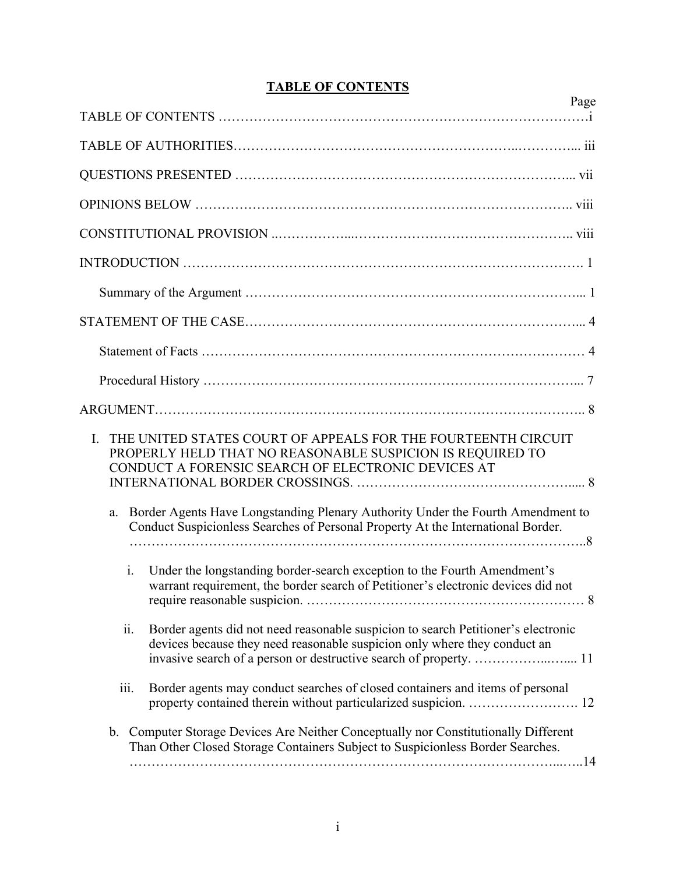## **TABLE OF CONTENTS**

| Page                                                                                                                                                                                   |
|----------------------------------------------------------------------------------------------------------------------------------------------------------------------------------------|
|                                                                                                                                                                                        |
|                                                                                                                                                                                        |
|                                                                                                                                                                                        |
|                                                                                                                                                                                        |
|                                                                                                                                                                                        |
|                                                                                                                                                                                        |
|                                                                                                                                                                                        |
|                                                                                                                                                                                        |
|                                                                                                                                                                                        |
|                                                                                                                                                                                        |
|                                                                                                                                                                                        |
| THE UNITED STATES COURT OF APPEALS FOR THE FOURTEENTH CIRCUIT<br>I.<br>PROPERLY HELD THAT NO REASONABLE SUSPICION IS REQUIRED TO<br>CONDUCT A FORENSIC SEARCH OF ELECTRONIC DEVICES AT |
| Border Agents Have Longstanding Plenary Authority Under the Fourth Amendment to<br>a.<br>Conduct Suspicionless Searches of Personal Property At the International Border.              |
| $\mathbf{i}$ .<br>Under the longstanding border-search exception to the Fourth Amendment's<br>warrant requirement, the border search of Petitioner's electronic devices did not        |
| ii.<br>Border agents did not need reasonable suspicion to search Petitioner's electronic<br>devices because they need reasonable suspicion only where they conduct an                  |
| Border agents may conduct searches of closed containers and items of personal<br>iii.                                                                                                  |
| Computer Storage Devices Are Neither Conceptually nor Constitutionally Different<br>b.<br>Than Other Closed Storage Containers Subject to Suspicionless Border Searches.               |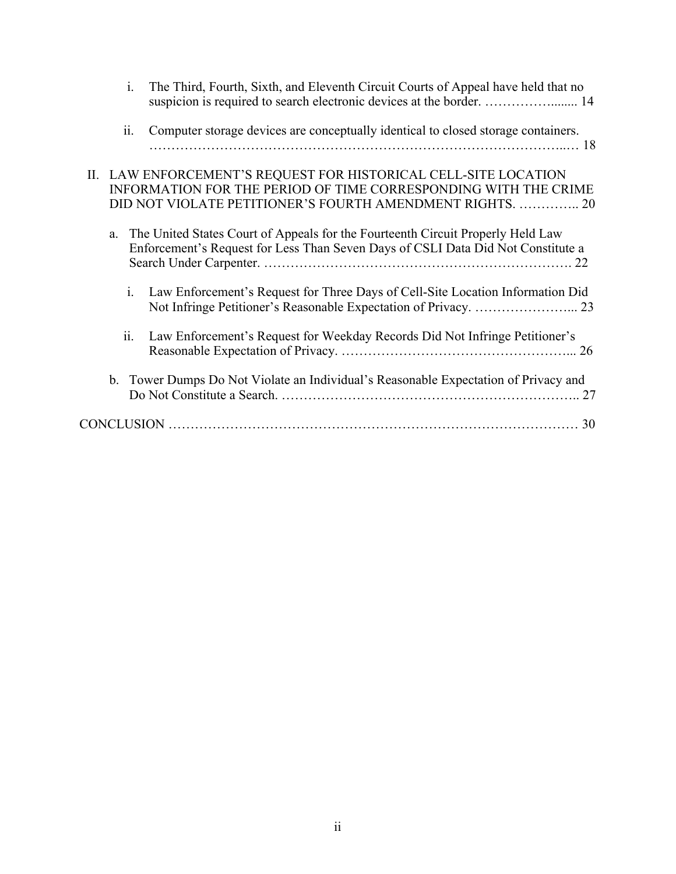| $\mathbf{i}$ .<br>The Third, Fourth, Sixth, and Eleventh Circuit Courts of Appeal have held that no<br>suspicion is required to search electronic devices at the border.  14                    |
|-------------------------------------------------------------------------------------------------------------------------------------------------------------------------------------------------|
| Computer storage devices are conceptually identical to closed storage containers.<br>ii.                                                                                                        |
| II. LAW ENFORCEMENT'S REQUEST FOR HISTORICAL CELL-SITE LOCATION<br>INFORMATION FOR THE PERIOD OF TIME CORRESPONDING WITH THE CRIME<br>DID NOT VIOLATE PETITIONER'S FOURTH AMENDMENT RIGHTS.  20 |
| The United States Court of Appeals for the Fourteenth Circuit Properly Held Law<br>a.<br>Enforcement's Request for Less Than Seven Days of CSLI Data Did Not Constitute a                       |
| Law Enforcement's Request for Three Days of Cell-Site Location Information Did<br>$\mathbf{i}$ .                                                                                                |
| ii.<br>Law Enforcement's Request for Weekday Records Did Not Infringe Petitioner's                                                                                                              |
| b. Tower Dumps Do Not Violate an Individual's Reasonable Expectation of Privacy and                                                                                                             |
|                                                                                                                                                                                                 |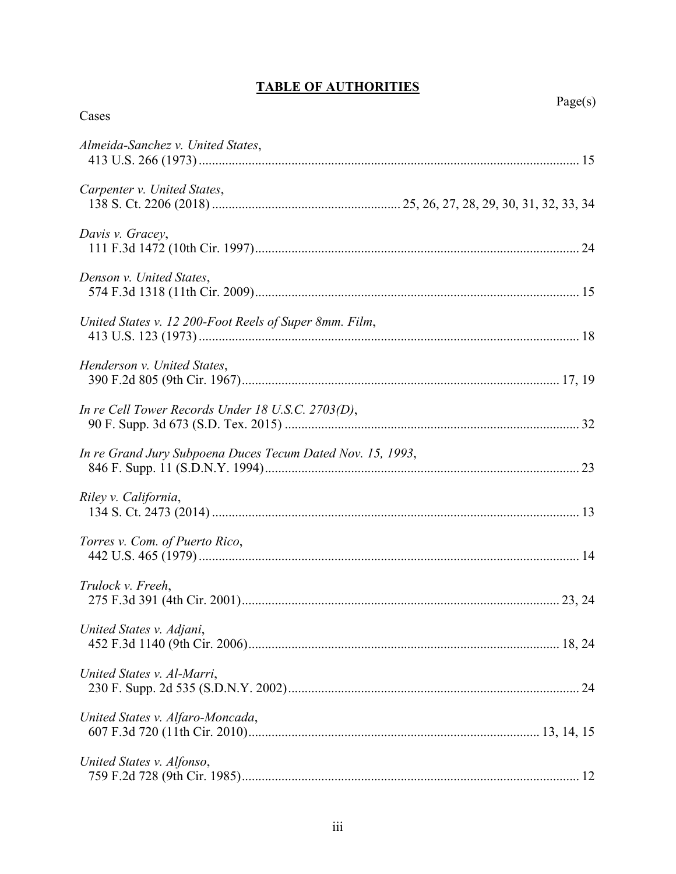## **TABLE OF AUTHORITIES**

| Cases                                                      | Page(s) |
|------------------------------------------------------------|---------|
| Almeida-Sanchez v. United States,                          |         |
| Carpenter v. United States,                                |         |
| Davis v. Gracey,                                           |         |
| Denson v. United States,                                   |         |
| United States v. 12 200-Foot Reels of Super 8mm. Film,     |         |
| Henderson v. United States,                                |         |
| In re Cell Tower Records Under 18 U.S.C. 2703(D),          |         |
| In re Grand Jury Subpoena Duces Tecum Dated Nov. 15, 1993, |         |
| Riley v. California,                                       |         |
| Torres v. Com. of Puerto Rico,                             |         |
| Trulock v. Freeh.                                          |         |
| United States v. Adjani,                                   |         |
| United States v. Al-Marri,                                 |         |
| United States v. Alfaro-Moncada,                           |         |
| United States v. Alfonso,                                  |         |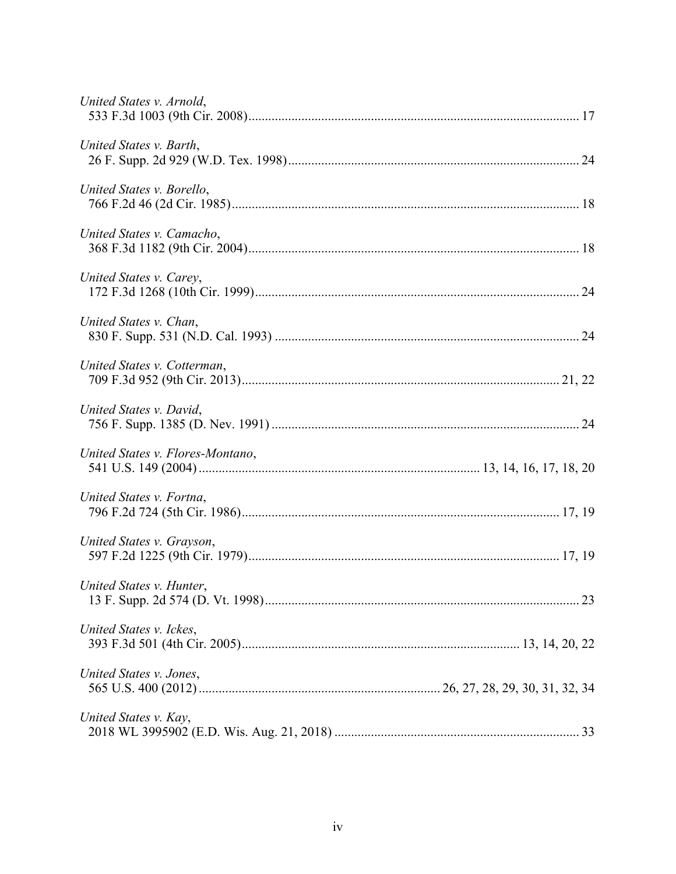| United States v. Arnold,         |  |
|----------------------------------|--|
| United States v. Barth,          |  |
| United States v. Borello,        |  |
| United States v. Camacho,        |  |
| United States v. Carey,          |  |
| United States v. Chan,           |  |
| United States v. Cotterman,      |  |
| United States v. David,          |  |
| United States v. Flores-Montano, |  |
| United States v. Fortna,         |  |
| United States v. Grayson,        |  |
| United States v. Hunter,         |  |
| United States v. Ickes,          |  |
| United States v. Jones,          |  |
| United States v. Kay,            |  |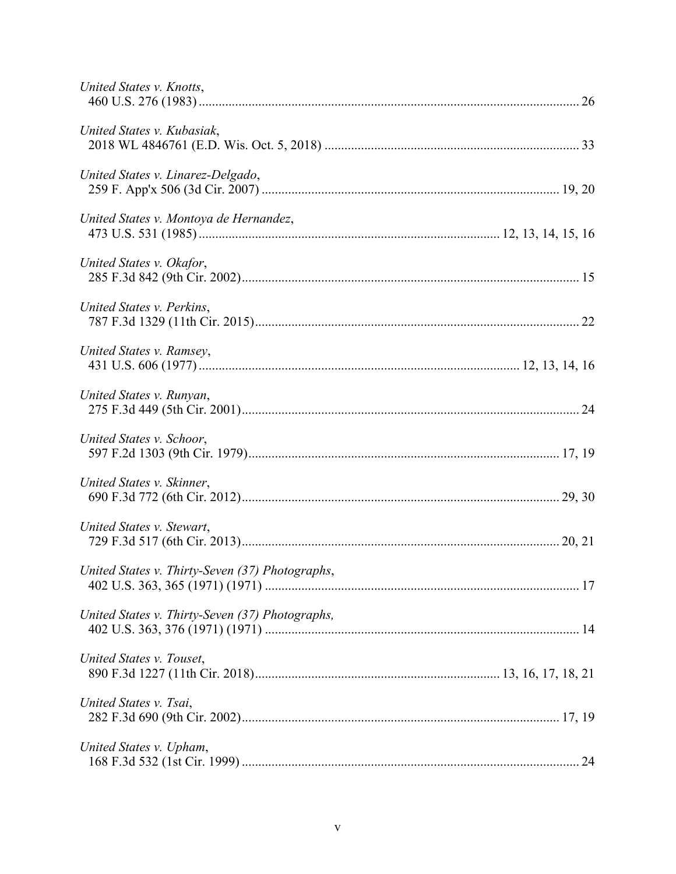| United States v. Knotts,                        |  |
|-------------------------------------------------|--|
| United States v. Kubasiak,                      |  |
| United States v. Linarez-Delgado,               |  |
| United States v. Montoya de Hernandez,          |  |
| United States v. Okafor,                        |  |
| United States v. Perkins,                       |  |
| United States v. Ramsey,                        |  |
| United States v. Runyan,                        |  |
| United States v. Schoor,                        |  |
| United States v. Skinner,                       |  |
| United States v. Stewart,                       |  |
| United States v. Thirty-Seven (37) Photographs, |  |
| United States v. Thirty-Seven (37) Photographs, |  |
| United States v. Touset,                        |  |
| United States v. Tsai,                          |  |
| United States v. Upham,                         |  |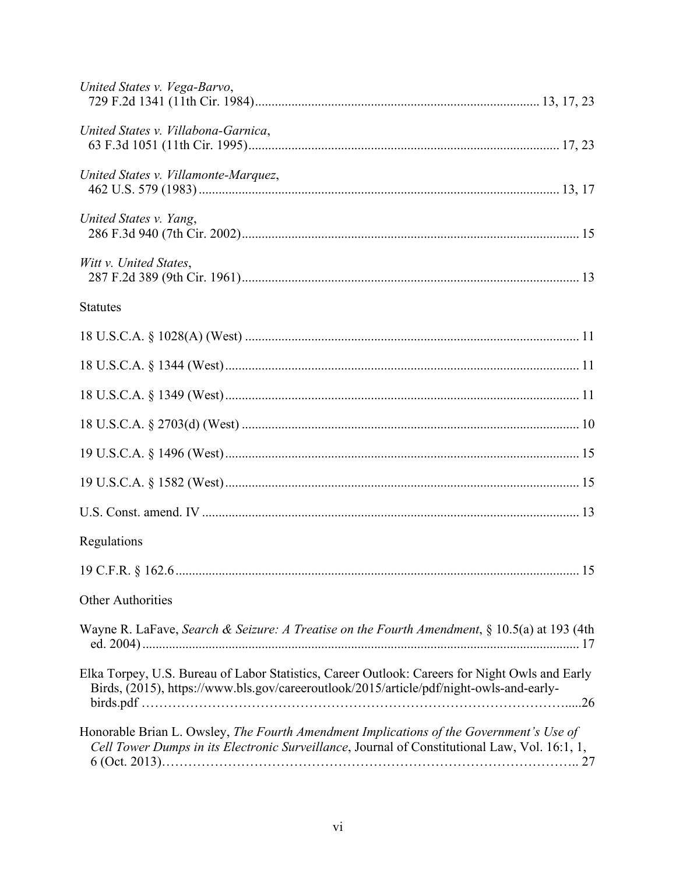| United States v. Vega-Barvo,                                                                                                                                                              |
|-------------------------------------------------------------------------------------------------------------------------------------------------------------------------------------------|
| United States v. Villabona-Garnica,                                                                                                                                                       |
| United States v. Villamonte-Marquez,                                                                                                                                                      |
| United States v. Yang,                                                                                                                                                                    |
| Witt v. United States,                                                                                                                                                                    |
| <b>Statutes</b>                                                                                                                                                                           |
|                                                                                                                                                                                           |
|                                                                                                                                                                                           |
|                                                                                                                                                                                           |
|                                                                                                                                                                                           |
|                                                                                                                                                                                           |
|                                                                                                                                                                                           |
|                                                                                                                                                                                           |
| Regulations                                                                                                                                                                               |
| 15                                                                                                                                                                                        |
| <b>Other Authorities</b>                                                                                                                                                                  |
| Wayne R. LaFave, Search & Seizure: A Treatise on the Fourth Amendment, § 10.5(a) at 193 (4th                                                                                              |
| Elka Torpey, U.S. Bureau of Labor Statistics, Career Outlook: Careers for Night Owls and Early<br>Birds, (2015), https://www.bls.gov/careeroutlook/2015/article/pdf/night-owls-and-early- |
| Honorable Brian L. Owsley, The Fourth Amendment Implications of the Government's Use of<br>Cell Tower Dumps in its Electronic Surveillance, Journal of Constitutional Law, Vol. 16:1, 1,  |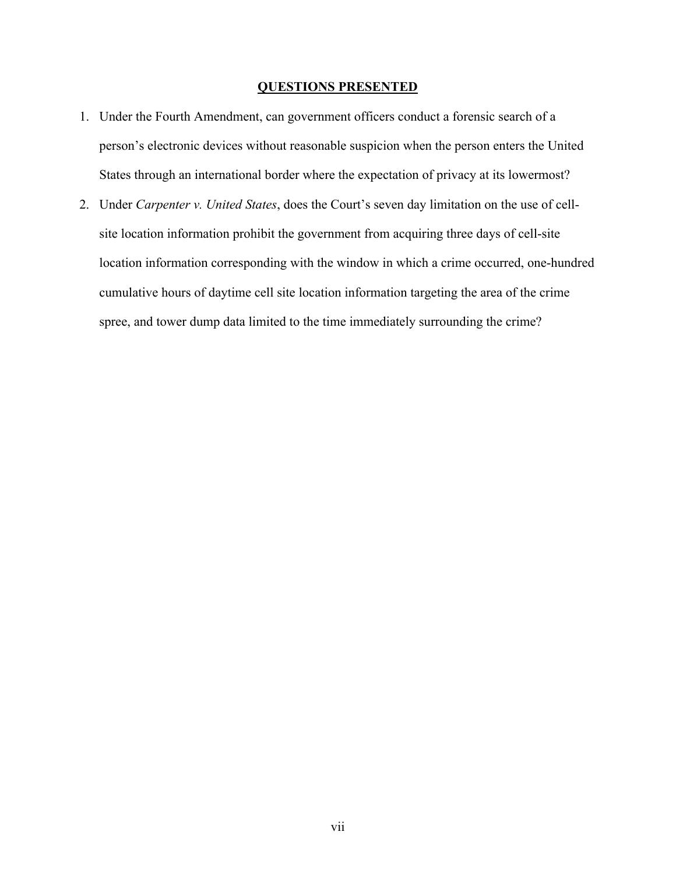#### **QUESTIONS PRESENTED**

- 1. Under the Fourth Amendment, can government officers conduct a forensic search of a person's electronic devices without reasonable suspicion when the person enters the United States through an international border where the expectation of privacy at its lowermost?
- 2. Under *Carpenter v. United States*, does the Court's seven day limitation on the use of cellsite location information prohibit the government from acquiring three days of cell-site location information corresponding with the window in which a crime occurred, one-hundred cumulative hours of daytime cell site location information targeting the area of the crime spree, and tower dump data limited to the time immediately surrounding the crime?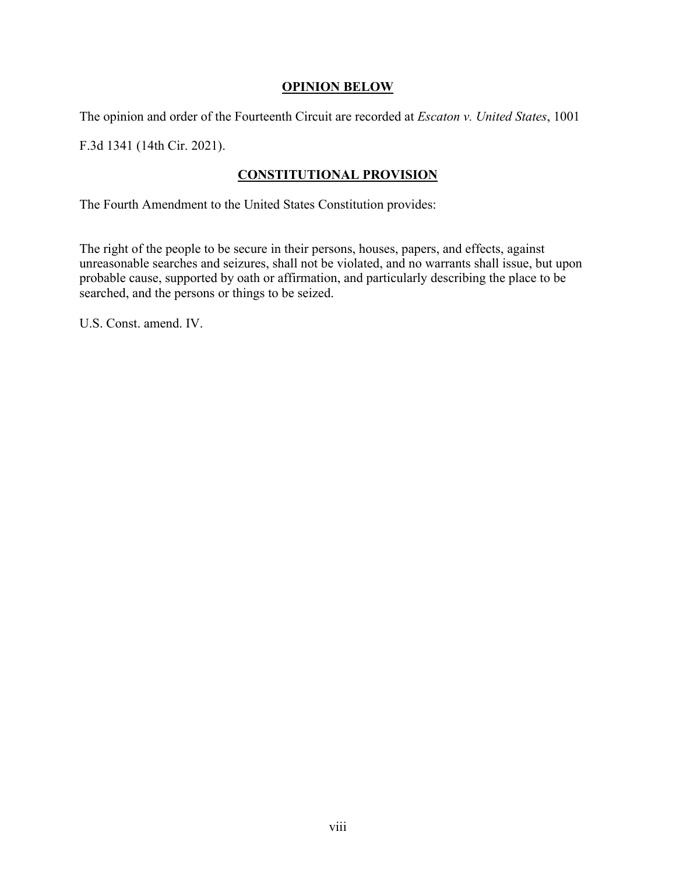## **OPINION BELOW**

The opinion and order of the Fourteenth Circuit are recorded at *Escaton v. United States*, 1001

F.3d 1341 (14th Cir. 2021).

## **CONSTITUTIONAL PROVISION**

The Fourth Amendment to the United States Constitution provides:

The right of the people to be secure in their persons, houses, papers, and effects, against unreasonable searches and seizures, shall not be violated, and no warrants shall issue, but upon probable cause, supported by oath or affirmation, and particularly describing the place to be searched, and the persons or things to be seized.

U.S. Const. amend. IV.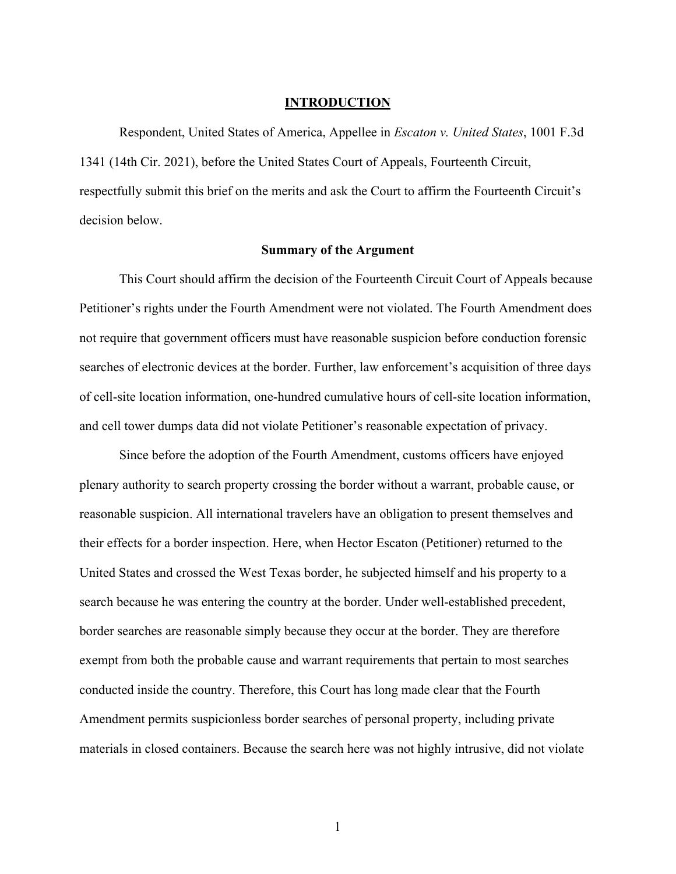#### **INTRODUCTION**

Respondent, United States of America, Appellee in *Escaton v. United States*, 1001 F.3d 1341 (14th Cir. 2021), before the United States Court of Appeals, Fourteenth Circuit, respectfully submit this brief on the merits and ask the Court to affirm the Fourteenth Circuit's decision below.

#### **Summary of the Argument**

This Court should affirm the decision of the Fourteenth Circuit Court of Appeals because Petitioner's rights under the Fourth Amendment were not violated. The Fourth Amendment does not require that government officers must have reasonable suspicion before conduction forensic searches of electronic devices at the border. Further, law enforcement's acquisition of three days of cell-site location information, one-hundred cumulative hours of cell-site location information, and cell tower dumps data did not violate Petitioner's reasonable expectation of privacy.

Since before the adoption of the Fourth Amendment, customs officers have enjoyed plenary authority to search property crossing the border without a warrant, probable cause, or reasonable suspicion. All international travelers have an obligation to present themselves and their effects for a border inspection. Here, when Hector Escaton (Petitioner) returned to the United States and crossed the West Texas border, he subjected himself and his property to a search because he was entering the country at the border. Under well-established precedent, border searches are reasonable simply because they occur at the border. They are therefore exempt from both the probable cause and warrant requirements that pertain to most searches conducted inside the country. Therefore, this Court has long made clear that the Fourth Amendment permits suspicionless border searches of personal property, including private materials in closed containers. Because the search here was not highly intrusive, did not violate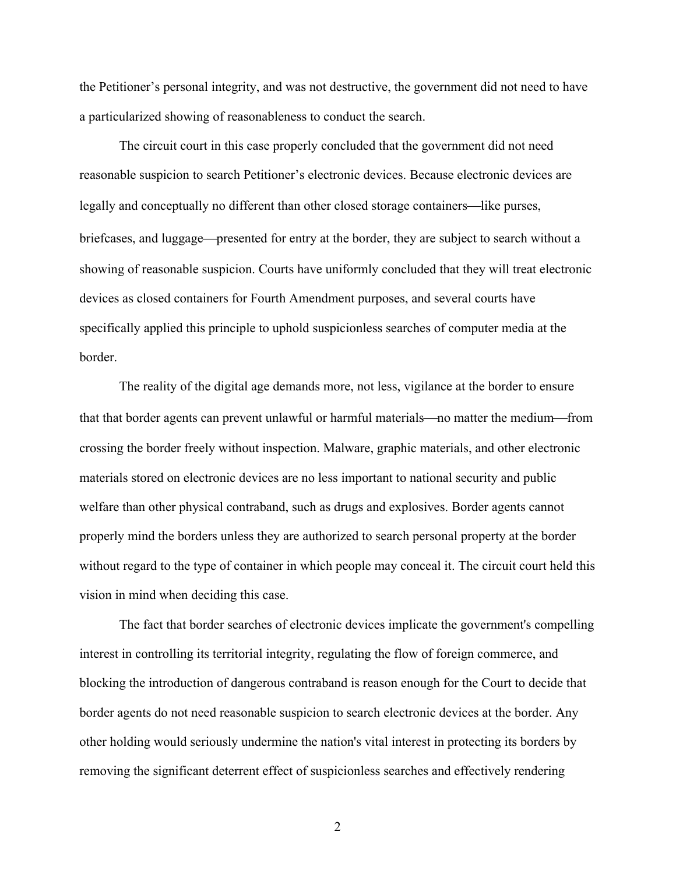the Petitioner's personal integrity, and was not destructive, the government did not need to have a particularized showing of reasonableness to conduct the search.

The circuit court in this case properly concluded that the government did not need reasonable suspicion to search Petitioner's electronic devices. Because electronic devices are legally and conceptually no different than other closed storage containers—like purses, briefcases, and luggage¾presented for entry at the border, they are subject to search without a showing of reasonable suspicion. Courts have uniformly concluded that they will treat electronic devices as closed containers for Fourth Amendment purposes, and several courts have specifically applied this principle to uphold suspicionless searches of computer media at the border.

The reality of the digital age demands more, not less, vigilance at the border to ensure that that border agents can prevent unlawful or harmful materials—no matter the medium—from crossing the border freely without inspection. Malware, graphic materials, and other electronic materials stored on electronic devices are no less important to national security and public welfare than other physical contraband, such as drugs and explosives. Border agents cannot properly mind the borders unless they are authorized to search personal property at the border without regard to the type of container in which people may conceal it. The circuit court held this vision in mind when deciding this case.

The fact that border searches of electronic devices implicate the government's compelling interest in controlling its territorial integrity, regulating the flow of foreign commerce, and blocking the introduction of dangerous contraband is reason enough for the Court to decide that border agents do not need reasonable suspicion to search electronic devices at the border. Any other holding would seriously undermine the nation's vital interest in protecting its borders by removing the significant deterrent effect of suspicionless searches and effectively rendering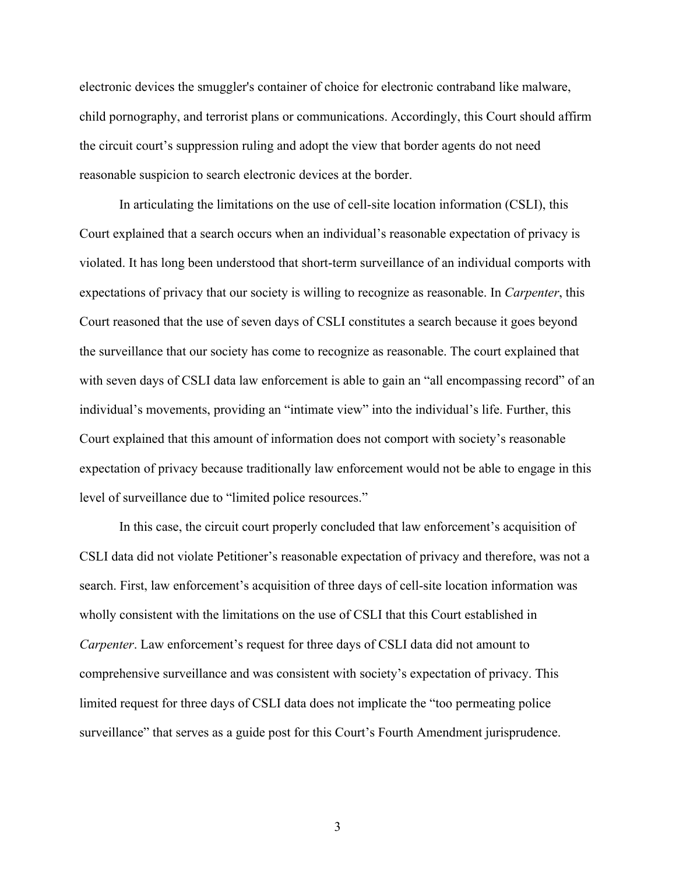electronic devices the smuggler's container of choice for electronic contraband like malware, child pornography, and terrorist plans or communications. Accordingly, this Court should affirm the circuit court's suppression ruling and adopt the view that border agents do not need reasonable suspicion to search electronic devices at the border.

In articulating the limitations on the use of cell-site location information (CSLI), this Court explained that a search occurs when an individual's reasonable expectation of privacy is violated. It has long been understood that short-term surveillance of an individual comports with expectations of privacy that our society is willing to recognize as reasonable. In *Carpenter*, this Court reasoned that the use of seven days of CSLI constitutes a search because it goes beyond the surveillance that our society has come to recognize as reasonable. The court explained that with seven days of CSLI data law enforcement is able to gain an "all encompassing record" of an individual's movements, providing an "intimate view" into the individual's life. Further, this Court explained that this amount of information does not comport with society's reasonable expectation of privacy because traditionally law enforcement would not be able to engage in this level of surveillance due to "limited police resources."

In this case, the circuit court properly concluded that law enforcement's acquisition of CSLI data did not violate Petitioner's reasonable expectation of privacy and therefore, was not a search. First, law enforcement's acquisition of three days of cell-site location information was wholly consistent with the limitations on the use of CSLI that this Court established in *Carpenter*. Law enforcement's request for three days of CSLI data did not amount to comprehensive surveillance and was consistent with society's expectation of privacy. This limited request for three days of CSLI data does not implicate the "too permeating police surveillance" that serves as a guide post for this Court's Fourth Amendment jurisprudence.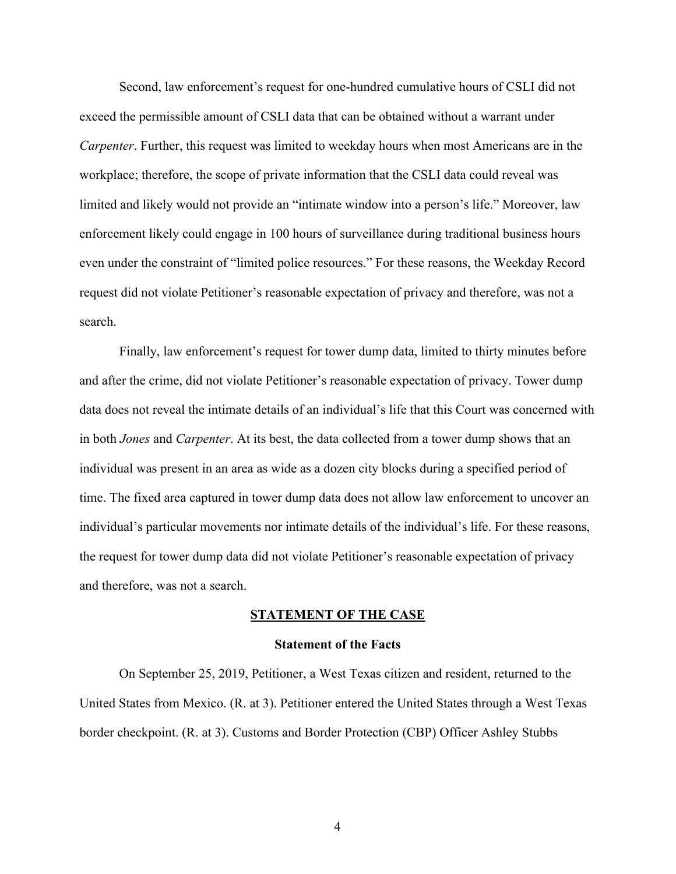Second, law enforcement's request for one-hundred cumulative hours of CSLI did not exceed the permissible amount of CSLI data that can be obtained without a warrant under *Carpenter*. Further, this request was limited to weekday hours when most Americans are in the workplace; therefore, the scope of private information that the CSLI data could reveal was limited and likely would not provide an "intimate window into a person's life." Moreover, law enforcement likely could engage in 100 hours of surveillance during traditional business hours even under the constraint of "limited police resources." For these reasons, the Weekday Record request did not violate Petitioner's reasonable expectation of privacy and therefore, was not a search.

Finally, law enforcement's request for tower dump data, limited to thirty minutes before and after the crime, did not violate Petitioner's reasonable expectation of privacy. Tower dump data does not reveal the intimate details of an individual's life that this Court was concerned with in both *Jones* and *Carpenter*. At its best, the data collected from a tower dump shows that an individual was present in an area as wide as a dozen city blocks during a specified period of time. The fixed area captured in tower dump data does not allow law enforcement to uncover an individual's particular movements nor intimate details of the individual's life. For these reasons, the request for tower dump data did not violate Petitioner's reasonable expectation of privacy and therefore, was not a search.

#### **STATEMENT OF THE CASE**

#### **Statement of the Facts**

On September 25, 2019, Petitioner, a West Texas citizen and resident, returned to the United States from Mexico. (R. at 3). Petitioner entered the United States through a West Texas border checkpoint. (R. at 3). Customs and Border Protection (CBP) Officer Ashley Stubbs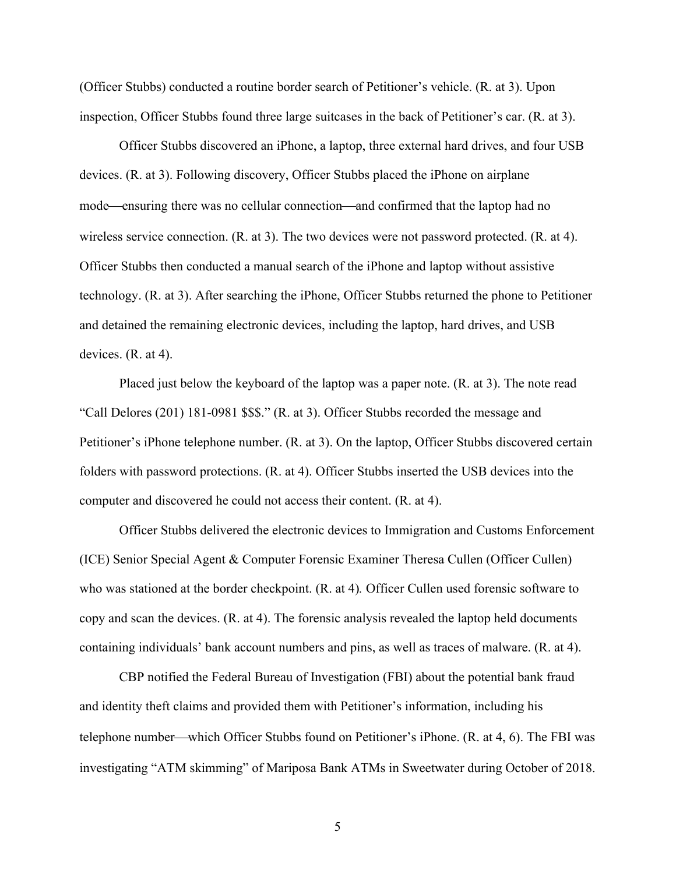(Officer Stubbs) conducted a routine border search of Petitioner's vehicle. (R. at 3). Upon inspection, Officer Stubbs found three large suitcases in the back of Petitioner's car. (R. at 3).

Officer Stubbs discovered an iPhone, a laptop, three external hard drives, and four USB devices. (R. at 3). Following discovery, Officer Stubbs placed the iPhone on airplane mode—ensuring there was no cellular connection—and confirmed that the laptop had no wireless service connection. (R. at 3). The two devices were not password protected. (R. at 4). Officer Stubbs then conducted a manual search of the iPhone and laptop without assistive technology. (R. at 3). After searching the iPhone, Officer Stubbs returned the phone to Petitioner and detained the remaining electronic devices, including the laptop, hard drives, and USB devices. (R. at 4).

Placed just below the keyboard of the laptop was a paper note. (R. at 3). The note read "Call Delores (201) 181-0981 \$\$\$." (R. at 3). Officer Stubbs recorded the message and Petitioner's iPhone telephone number. (R. at 3). On the laptop, Officer Stubbs discovered certain folders with password protections. (R. at 4). Officer Stubbs inserted the USB devices into the computer and discovered he could not access their content. (R. at 4).

Officer Stubbs delivered the electronic devices to Immigration and Customs Enforcement (ICE) Senior Special Agent & Computer Forensic Examiner Theresa Cullen (Officer Cullen) who was stationed at the border checkpoint. (R. at 4)*.* Officer Cullen used forensic software to copy and scan the devices. (R. at 4). The forensic analysis revealed the laptop held documents containing individuals' bank account numbers and pins, as well as traces of malware. (R. at 4).

CBP notified the Federal Bureau of Investigation (FBI) about the potential bank fraud and identity theft claims and provided them with Petitioner's information, including his telephone number—which Officer Stubbs found on Petitioner's iPhone. (R. at  $4, 6$ ). The FBI was investigating "ATM skimming" of Mariposa Bank ATMs in Sweetwater during October of 2018.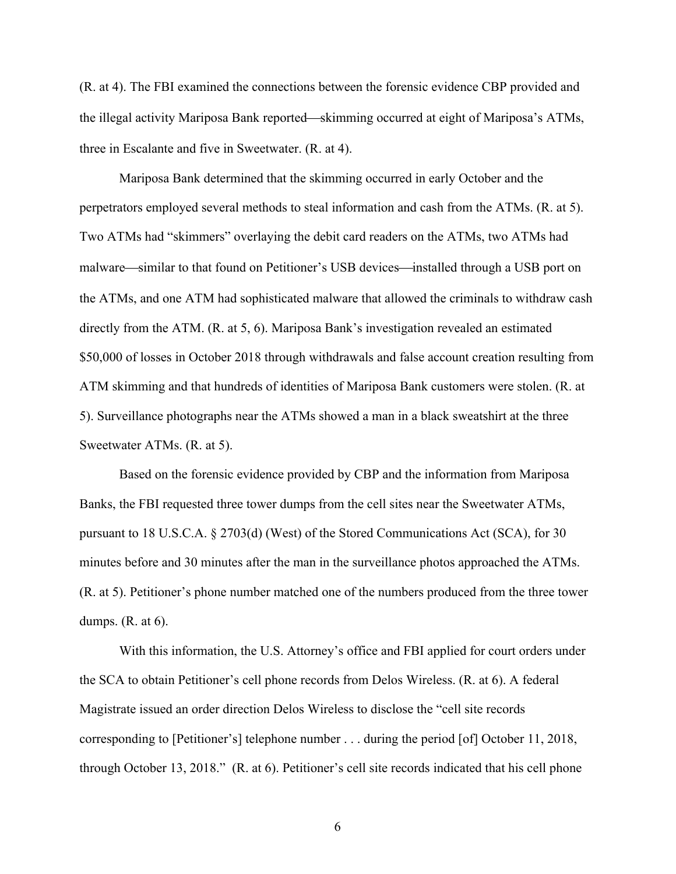(R. at 4). The FBI examined the connections between the forensic evidence CBP provided and the illegal activity Mariposa Bank reported—skimming occurred at eight of Mariposa's ATMs, three in Escalante and five in Sweetwater. (R. at 4).

Mariposa Bank determined that the skimming occurred in early October and the perpetrators employed several methods to steal information and cash from the ATMs. (R. at 5). Two ATMs had "skimmers" overlaying the debit card readers on the ATMs, two ATMs had malware—similar to that found on Petitioner's USB devices—installed through a USB port on the ATMs, and one ATM had sophisticated malware that allowed the criminals to withdraw cash directly from the ATM. (R. at 5, 6). Mariposa Bank's investigation revealed an estimated \$50,000 of losses in October 2018 through withdrawals and false account creation resulting from ATM skimming and that hundreds of identities of Mariposa Bank customers were stolen. (R. at 5). Surveillance photographs near the ATMs showed a man in a black sweatshirt at the three Sweetwater ATMs. (R. at 5).

Based on the forensic evidence provided by CBP and the information from Mariposa Banks, the FBI requested three tower dumps from the cell sites near the Sweetwater ATMs, pursuant to 18 U.S.C.A. § 2703(d) (West) of the Stored Communications Act (SCA), for 30 minutes before and 30 minutes after the man in the surveillance photos approached the ATMs. (R. at 5). Petitioner's phone number matched one of the numbers produced from the three tower dumps. (R. at 6).

With this information, the U.S. Attorney's office and FBI applied for court orders under the SCA to obtain Petitioner's cell phone records from Delos Wireless. (R. at 6). A federal Magistrate issued an order direction Delos Wireless to disclose the "cell site records corresponding to [Petitioner's] telephone number . . . during the period [of] October 11, 2018, through October 13, 2018." (R. at 6). Petitioner's cell site records indicated that his cell phone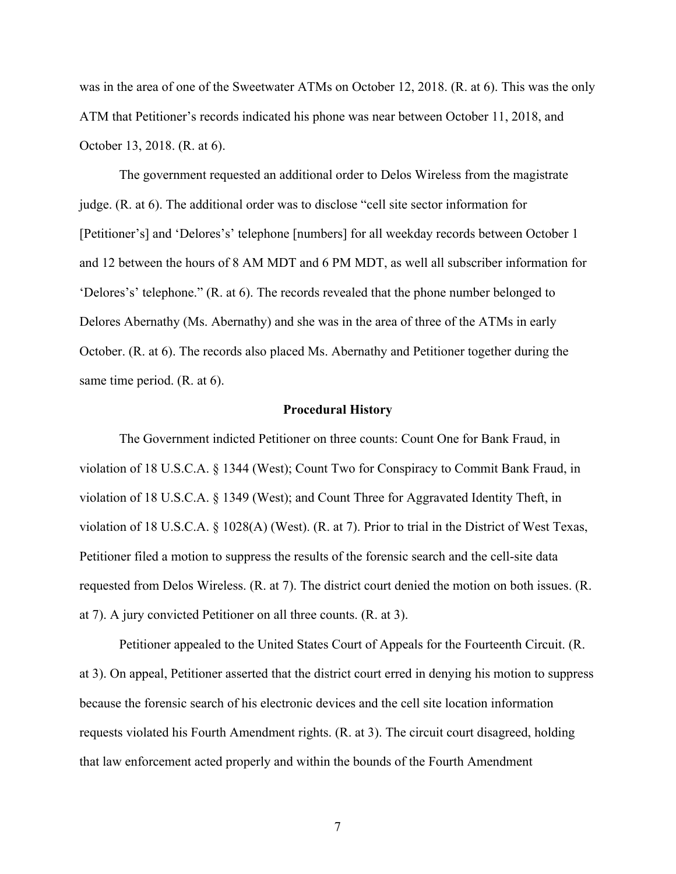was in the area of one of the Sweetwater ATMs on October 12, 2018. (R. at 6). This was the only ATM that Petitioner's records indicated his phone was near between October 11, 2018, and October 13, 2018. (R. at 6).

The government requested an additional order to Delos Wireless from the magistrate judge. (R. at 6). The additional order was to disclose "cell site sector information for [Petitioner's] and 'Delores's' telephone [numbers] for all weekday records between October 1 and 12 between the hours of 8 AM MDT and 6 PM MDT, as well all subscriber information for 'Delores's' telephone." (R. at 6). The records revealed that the phone number belonged to Delores Abernathy (Ms. Abernathy) and she was in the area of three of the ATMs in early October. (R. at 6). The records also placed Ms. Abernathy and Petitioner together during the same time period. (R. at 6).

#### **Procedural History**

The Government indicted Petitioner on three counts: Count One for Bank Fraud, in violation of 18 U.S.C.A. § 1344 (West); Count Two for Conspiracy to Commit Bank Fraud, in violation of 18 U.S.C.A. § 1349 (West); and Count Three for Aggravated Identity Theft, in violation of 18 U.S.C.A. § 1028(A) (West). (R. at 7). Prior to trial in the District of West Texas, Petitioner filed a motion to suppress the results of the forensic search and the cell-site data requested from Delos Wireless. (R. at 7). The district court denied the motion on both issues. (R. at 7). A jury convicted Petitioner on all three counts. (R. at 3).

Petitioner appealed to the United States Court of Appeals for the Fourteenth Circuit. (R. at 3). On appeal, Petitioner asserted that the district court erred in denying his motion to suppress because the forensic search of his electronic devices and the cell site location information requests violated his Fourth Amendment rights. (R. at 3). The circuit court disagreed, holding that law enforcement acted properly and within the bounds of the Fourth Amendment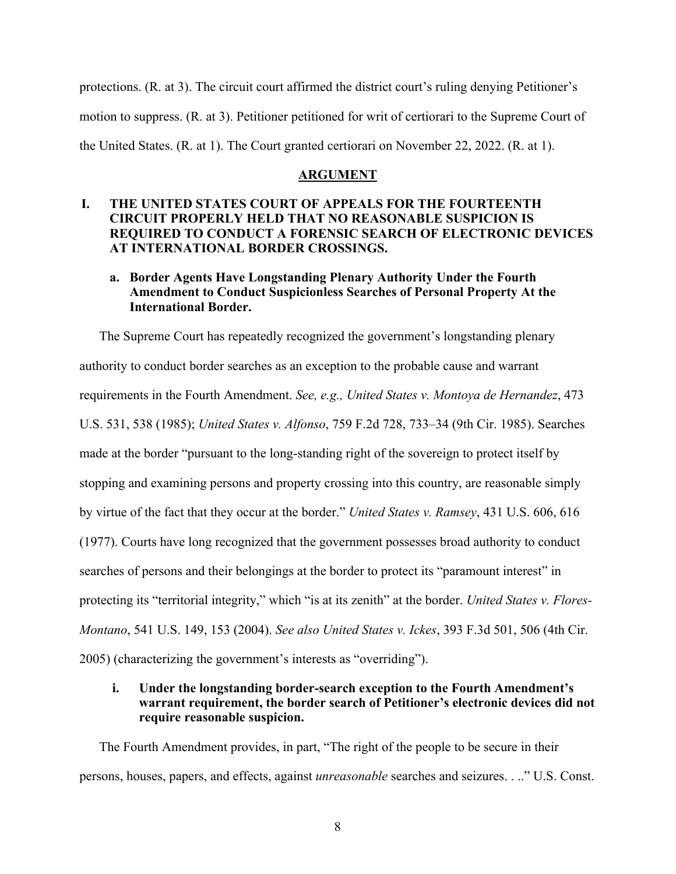protections. (R. at 3). The circuit court affirmed the district court's ruling denying Petitioner's motion to suppress. (R. at 3). Petitioner petitioned for writ of certiorari to the Supreme Court of the United States. (R. at 1). The Court granted certiorari on November 22, 2022. (R. at 1).

#### **ARGUMENT**

## **I. THE UNITED STATES COURT OF APPEALS FOR THE FOURTEENTH CIRCUIT PROPERLY HELD THAT NO REASONABLE SUSPICION IS REQUIRED TO CONDUCT A FORENSIC SEARCH OF ELECTRONIC DEVICES AT INTERNATIONAL BORDER CROSSINGS.**

## **a. Border Agents Have Longstanding Plenary Authority Under the Fourth Amendment to Conduct Suspicionless Searches of Personal Property At the International Border.**

The Supreme Court has repeatedly recognized the government's longstanding plenary authority to conduct border searches as an exception to the probable cause and warrant requirements in the Fourth Amendment. *See, e.g., United States v. Montoya de Hernandez*, 473 U.S. 531, 538 (1985); *United States v. Alfonso*, 759 F.2d 728, 733–34 (9th Cir. 1985). Searches made at the border "pursuant to the long-standing right of the sovereign to protect itself by stopping and examining persons and property crossing into this country, are reasonable simply by virtue of the fact that they occur at the border." *United States v. Ramsey*, 431 U.S. 606, 616 (1977). Courts have long recognized that the government possesses broad authority to conduct searches of persons and their belongings at the border to protect its "paramount interest" in protecting its "territorial integrity," which "is at its zenith" at the border. *United States v. Flores-Montano*, 541 U.S. 149, 153 (2004). *See also United States v. Ickes*, 393 F.3d 501, 506 (4th Cir. 2005) (characterizing the government's interests as "overriding").

## **i. Under the longstanding border-search exception to the Fourth Amendment's warrant requirement, the border search of Petitioner's electronic devices did not require reasonable suspicion.**

The Fourth Amendment provides, in part, "The right of the people to be secure in their persons, houses, papers, and effects, against *unreasonable* searches and seizures. . .." U.S. Const.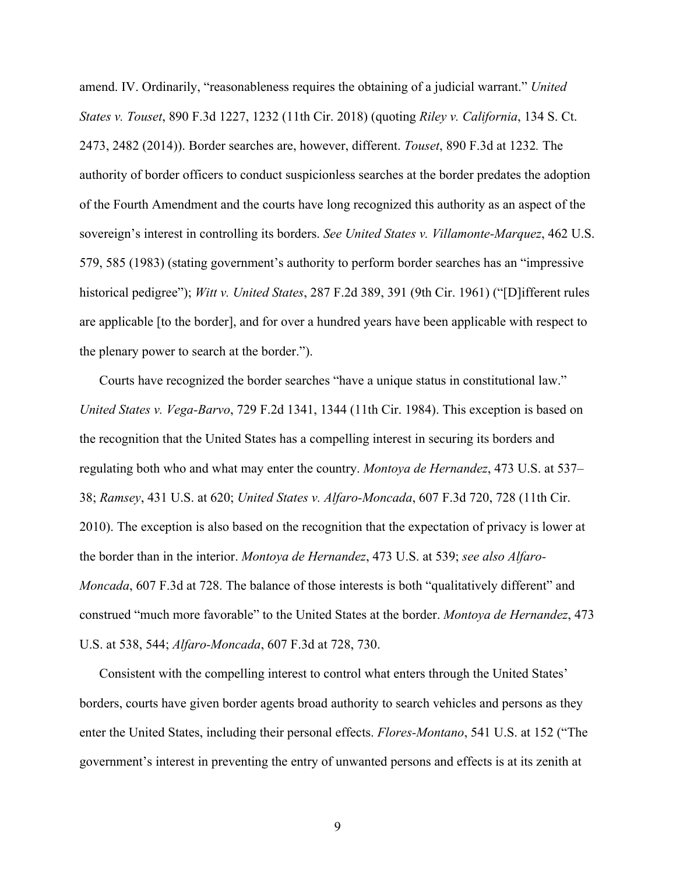amend. IV. Ordinarily, "reasonableness requires the obtaining of a judicial warrant." *United States v. Touset*, 890 F.3d 1227, 1232 (11th Cir. 2018) (quoting *Riley v. California*, 134 S. Ct. 2473, 2482 (2014)). Border searches are, however, different. *Touset*, 890 F.3d at 1232*.* The authority of border officers to conduct suspicionless searches at the border predates the adoption of the Fourth Amendment and the courts have long recognized this authority as an aspect of the sovereign's interest in controlling its borders. *See United States v. Villamonte-Marquez*, 462 U.S. 579, 585 (1983) (stating government's authority to perform border searches has an "impressive historical pedigree"); *Witt v. United States*, 287 F.2d 389, 391 (9th Cir. 1961) ("[D]ifferent rules are applicable [to the border], and for over a hundred years have been applicable with respect to the plenary power to search at the border.").

Courts have recognized the border searches "have a unique status in constitutional law." *United States v. Vega-Barvo*, 729 F.2d 1341, 1344 (11th Cir. 1984). This exception is based on the recognition that the United States has a compelling interest in securing its borders and regulating both who and what may enter the country. *Montoya de Hernandez*, 473 U.S. at 537– 38; *Ramsey*, 431 U.S. at 620; *United States v. Alfaro-Moncada*, 607 F.3d 720, 728 (11th Cir. 2010). The exception is also based on the recognition that the expectation of privacy is lower at the border than in the interior. *Montoya de Hernandez*, 473 U.S. at 539; *see also Alfaro-Moncada*, 607 F.3d at 728. The balance of those interests is both "qualitatively different" and construed "much more favorable" to the United States at the border. *Montoya de Hernandez*, 473 U.S. at 538, 544; *Alfaro-Moncada*, 607 F.3d at 728, 730.

Consistent with the compelling interest to control what enters through the United States' borders, courts have given border agents broad authority to search vehicles and persons as they enter the United States, including their personal effects. *Flores-Montano*, 541 U.S. at 152 ("The government's interest in preventing the entry of unwanted persons and effects is at its zenith at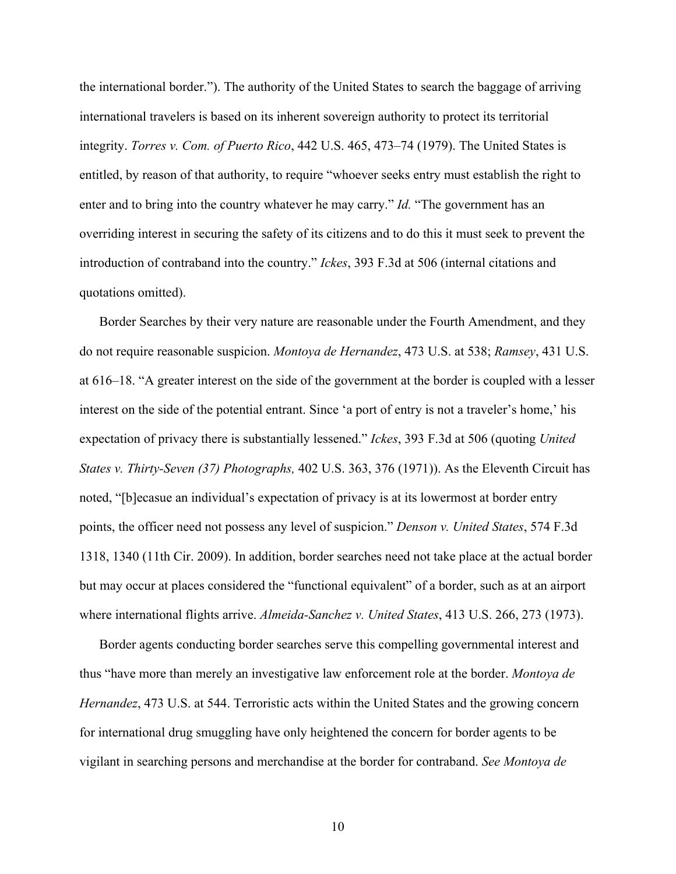the international border."). The authority of the United States to search the baggage of arriving international travelers is based on its inherent sovereign authority to protect its territorial integrity. *Torres v. Com. of Puerto Rico*, 442 U.S. 465, 473–74 (1979). The United States is entitled, by reason of that authority, to require "whoever seeks entry must establish the right to enter and to bring into the country whatever he may carry." *Id.* "The government has an overriding interest in securing the safety of its citizens and to do this it must seek to prevent the introduction of contraband into the country." *Ickes*, 393 F.3d at 506 (internal citations and quotations omitted).

Border Searches by their very nature are reasonable under the Fourth Amendment, and they do not require reasonable suspicion. *Montoya de Hernandez*, 473 U.S. at 538; *Ramsey*, 431 U.S. at 616–18. "A greater interest on the side of the government at the border is coupled with a lesser interest on the side of the potential entrant. Since 'a port of entry is not a traveler's home,' his expectation of privacy there is substantially lessened." *Ickes*, 393 F.3d at 506 (quoting *United States v. Thirty-Seven (37) Photographs,* 402 U.S. 363, 376 (1971)). As the Eleventh Circuit has noted, "[b]ecasue an individual's expectation of privacy is at its lowermost at border entry points, the officer need not possess any level of suspicion." *Denson v. United States*, 574 F.3d 1318, 1340 (11th Cir. 2009). In addition, border searches need not take place at the actual border but may occur at places considered the "functional equivalent" of a border, such as at an airport where international flights arrive. *Almeida-Sanchez v. United States*, 413 U.S. 266, 273 (1973).

Border agents conducting border searches serve this compelling governmental interest and thus "have more than merely an investigative law enforcement role at the border. *Montoya de Hernandez*, 473 U.S. at 544. Terroristic acts within the United States and the growing concern for international drug smuggling have only heightened the concern for border agents to be vigilant in searching persons and merchandise at the border for contraband. *See Montoya de*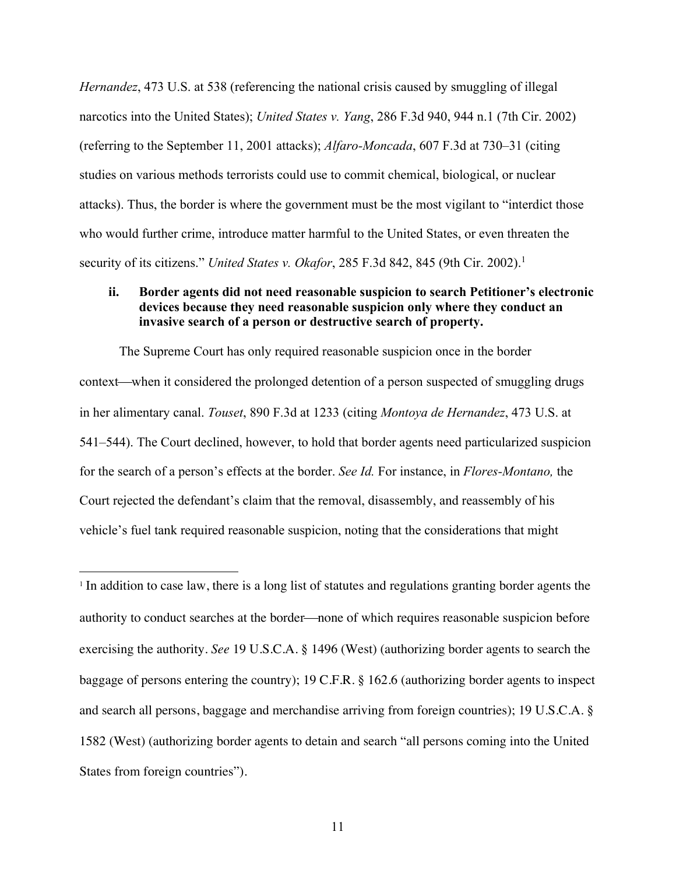*Hernandez*, 473 U.S. at 538 (referencing the national crisis caused by smuggling of illegal narcotics into the United States); *United States v. Yang*, 286 F.3d 940, 944 n.1 (7th Cir. 2002) (referring to the September 11, 2001 attacks); *Alfaro-Moncada*, 607 F.3d at 730–31 (citing studies on various methods terrorists could use to commit chemical, biological, or nuclear attacks). Thus, the border is where the government must be the most vigilant to "interdict those who would further crime, introduce matter harmful to the United States, or even threaten the security of its citizens." *United States v. Okafor*, 285 F.3d 842, 845 (9th Cir. 2002).1

### **ii. Border agents did not need reasonable suspicion to search Petitioner's electronic devices because they need reasonable suspicion only where they conduct an invasive search of a person or destructive search of property.**

The Supreme Court has only required reasonable suspicion once in the border context—when it considered the prolonged detention of a person suspected of smuggling drugs in her alimentary canal. *Touset*, 890 F.3d at 1233 (citing *Montoya de Hernandez*, 473 U.S. at 541–544). The Court declined, however, to hold that border agents need particularized suspicion for the search of a person's effects at the border. *See Id.* For instance, in *Flores-Montano,* the Court rejected the defendant's claim that the removal, disassembly, and reassembly of his vehicle's fuel tank required reasonable suspicion, noting that the considerations that might

<sup>1</sup> In addition to case law, there is a long list of statutes and regulations granting border agents the authority to conduct searches at the border—none of which requires reasonable suspicion before exercising the authority. *See* 19 U.S.C.A. § 1496 (West) (authorizing border agents to search the baggage of persons entering the country); 19 C.F.R. § 162.6 (authorizing border agents to inspect and search all persons, baggage and merchandise arriving from foreign countries); 19 U.S.C.A. § 1582 (West) (authorizing border agents to detain and search "all persons coming into the United States from foreign countries").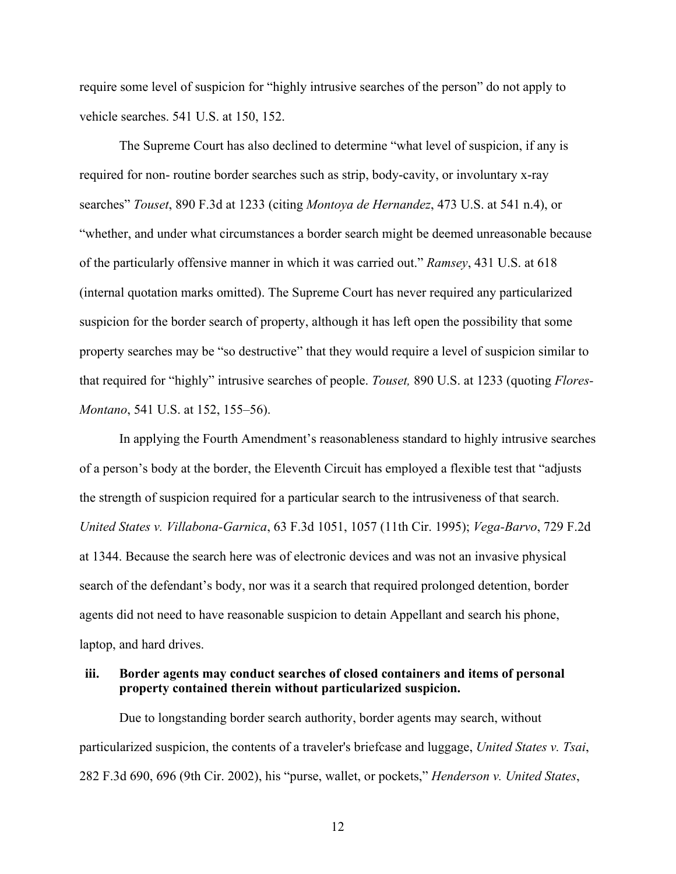require some level of suspicion for "highly intrusive searches of the person" do not apply to vehicle searches. 541 U.S. at 150, 152.

The Supreme Court has also declined to determine "what level of suspicion, if any is required for non- routine border searches such as strip, body-cavity, or involuntary x-ray searches" *Touset*, 890 F.3d at 1233 (citing *Montoya de Hernandez*, 473 U.S. at 541 n.4), or "whether, and under what circumstances a border search might be deemed unreasonable because of the particularly offensive manner in which it was carried out." *Ramsey*, 431 U.S. at 618 (internal quotation marks omitted). The Supreme Court has never required any particularized suspicion for the border search of property, although it has left open the possibility that some property searches may be "so destructive" that they would require a level of suspicion similar to that required for "highly" intrusive searches of people. *Touset,* 890 U.S. at 1233 (quoting *Flores-Montano*, 541 U.S. at 152, 155–56).

In applying the Fourth Amendment's reasonableness standard to highly intrusive searches of a person's body at the border, the Eleventh Circuit has employed a flexible test that "adjusts the strength of suspicion required for a particular search to the intrusiveness of that search. *United States v. Villabona-Garnica*, 63 F.3d 1051, 1057 (11th Cir. 1995); *Vega-Barvo*, 729 F.2d at 1344. Because the search here was of electronic devices and was not an invasive physical search of the defendant's body, nor was it a search that required prolonged detention, border agents did not need to have reasonable suspicion to detain Appellant and search his phone, laptop, and hard drives.

### **iii. Border agents may conduct searches of closed containers and items of personal property contained therein without particularized suspicion.**

Due to longstanding border search authority, border agents may search, without particularized suspicion, the contents of a traveler's briefcase and luggage, *United States v. Tsai*, 282 F.3d 690, 696 (9th Cir. 2002), his "purse, wallet, or pockets," *Henderson v. United States*,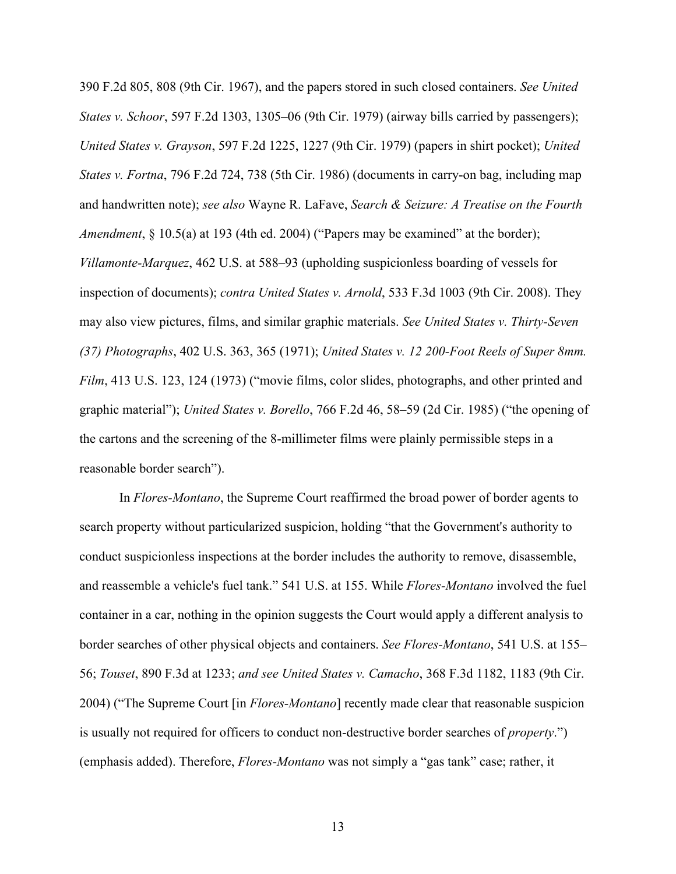390 F.2d 805, 808 (9th Cir. 1967), and the papers stored in such closed containers. *See United States v. Schoor*, 597 F.2d 1303, 1305–06 (9th Cir. 1979) (airway bills carried by passengers); *United States v. Grayson*, 597 F.2d 1225, 1227 (9th Cir. 1979) (papers in shirt pocket); *United States v. Fortna*, 796 F.2d 724, 738 (5th Cir. 1986) (documents in carry-on bag, including map and handwritten note); *see also* Wayne R. LaFave, *Search & Seizure: A Treatise on the Fourth Amendment*, § 10.5(a) at 193 (4th ed. 2004) ("Papers may be examined" at the border); *Villamonte-Marquez*, 462 U.S. at 588–93 (upholding suspicionless boarding of vessels for inspection of documents); *contra United States v. Arnold*, 533 F.3d 1003 (9th Cir. 2008). They may also view pictures, films, and similar graphic materials. *See United States v. Thirty-Seven (37) Photographs*, 402 U.S. 363, 365 (1971); *United States v. 12 200-Foot Reels of Super 8mm. Film*, 413 U.S. 123, 124 (1973) ("movie films, color slides, photographs, and other printed and graphic material"); *United States v. Borello*, 766 F.2d 46, 58–59 (2d Cir. 1985) ("the opening of the cartons and the screening of the 8-millimeter films were plainly permissible steps in a reasonable border search").

In *Flores-Montano*, the Supreme Court reaffirmed the broad power of border agents to search property without particularized suspicion, holding "that the Government's authority to conduct suspicionless inspections at the border includes the authority to remove, disassemble, and reassemble a vehicle's fuel tank." 541 U.S. at 155. While *Flores-Montano* involved the fuel container in a car, nothing in the opinion suggests the Court would apply a different analysis to border searches of other physical objects and containers. *See Flores-Montano*, 541 U.S. at 155– 56; *Touset*, 890 F.3d at 1233; *and see United States v. Camacho*, 368 F.3d 1182, 1183 (9th Cir. 2004) ("The Supreme Court [in *Flores-Montano*] recently made clear that reasonable suspicion is usually not required for officers to conduct non-destructive border searches of *property*.") (emphasis added). Therefore, *Flores-Montano* was not simply a "gas tank" case; rather, it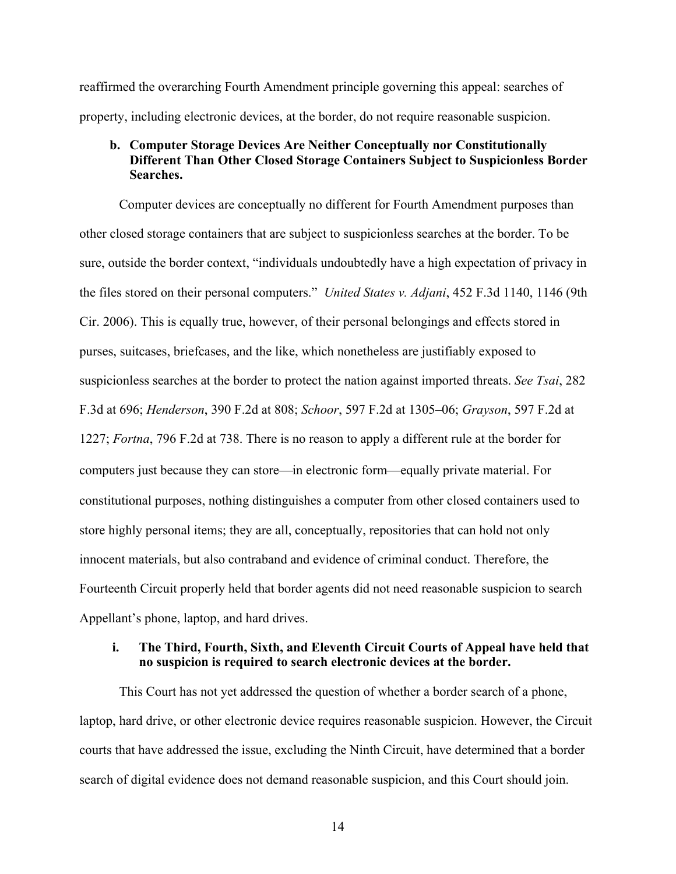reaffirmed the overarching Fourth Amendment principle governing this appeal: searches of property, including electronic devices, at the border, do not require reasonable suspicion.

#### **b. Computer Storage Devices Are Neither Conceptually nor Constitutionally Different Than Other Closed Storage Containers Subject to Suspicionless Border Searches.**

Computer devices are conceptually no different for Fourth Amendment purposes than other closed storage containers that are subject to suspicionless searches at the border. To be sure, outside the border context, "individuals undoubtedly have a high expectation of privacy in the files stored on their personal computers." *United States v. Adjani*, 452 F.3d 1140, 1146 (9th Cir. 2006). This is equally true, however, of their personal belongings and effects stored in purses, suitcases, briefcases, and the like, which nonetheless are justifiably exposed to suspicionless searches at the border to protect the nation against imported threats. *See Tsai*, 282 F.3d at 696; *Henderson*, 390 F.2d at 808; *Schoor*, 597 F.2d at 1305–06; *Grayson*, 597 F.2d at 1227; *Fortna*, 796 F.2d at 738. There is no reason to apply a different rule at the border for computers just because they can store—in electronic form—equally private material. For constitutional purposes, nothing distinguishes a computer from other closed containers used to store highly personal items; they are all, conceptually, repositories that can hold not only innocent materials, but also contraband and evidence of criminal conduct. Therefore, the Fourteenth Circuit properly held that border agents did not need reasonable suspicion to search Appellant's phone, laptop, and hard drives.

#### **i. The Third, Fourth, Sixth, and Eleventh Circuit Courts of Appeal have held that no suspicion is required to search electronic devices at the border.**

This Court has not yet addressed the question of whether a border search of a phone, laptop, hard drive, or other electronic device requires reasonable suspicion. However, the Circuit courts that have addressed the issue, excluding the Ninth Circuit, have determined that a border search of digital evidence does not demand reasonable suspicion, and this Court should join.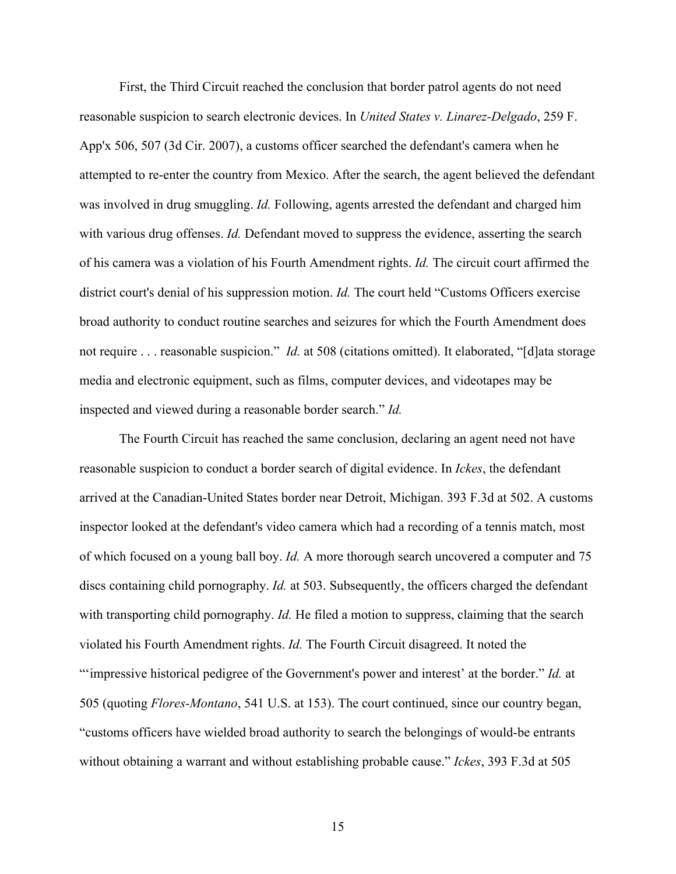First, the Third Circuit reached the conclusion that border patrol agents do not need reasonable suspicion to search electronic devices. In *United States v. Linarez-Delgado*, 259 F. App'x 506, 507 (3d Cir. 2007), a customs officer searched the defendant's camera when he attempted to re-enter the country from Mexico. After the search, the agent believed the defendant was involved in drug smuggling. *Id.* Following, agents arrested the defendant and charged him with various drug offenses. *Id.* Defendant moved to suppress the evidence, asserting the search of his camera was a violation of his Fourth Amendment rights. *Id.* The circuit court affirmed the district court's denial of his suppression motion. *Id*. The court held "Customs Officers exercise broad authority to conduct routine searches and seizures for which the Fourth Amendment does not require . . . reasonable suspicion." *Id.* at 508 (citations omitted). It elaborated, "[d]ata storage media and electronic equipment, such as films, computer devices, and videotapes may be inspected and viewed during a reasonable border search." *Id.*

The Fourth Circuit has reached the same conclusion, declaring an agent need not have reasonable suspicion to conduct a border search of digital evidence. In *Ickes*, the defendant arrived at the Canadian-United States border near Detroit, Michigan. 393 F.3d at 502. A customs inspector looked at the defendant's video camera which had a recording of a tennis match, most of which focused on a young ball boy. *Id.* A more thorough search uncovered a computer and 75 discs containing child pornography. *Id.* at 503. Subsequently, the officers charged the defendant with transporting child pornography. *Id.* He filed a motion to suppress, claiming that the search violated his Fourth Amendment rights. *Id.* The Fourth Circuit disagreed. It noted the "'impressive historical pedigree of the Government's power and interest' at the border." *Id.* at 505 (quoting *Flores-Montano*, 541 U.S. at 153). The court continued, since our country began, "customs officers have wielded broad authority to search the belongings of would-be entrants without obtaining a warrant and without establishing probable cause." *Ickes*, 393 F.3d at 505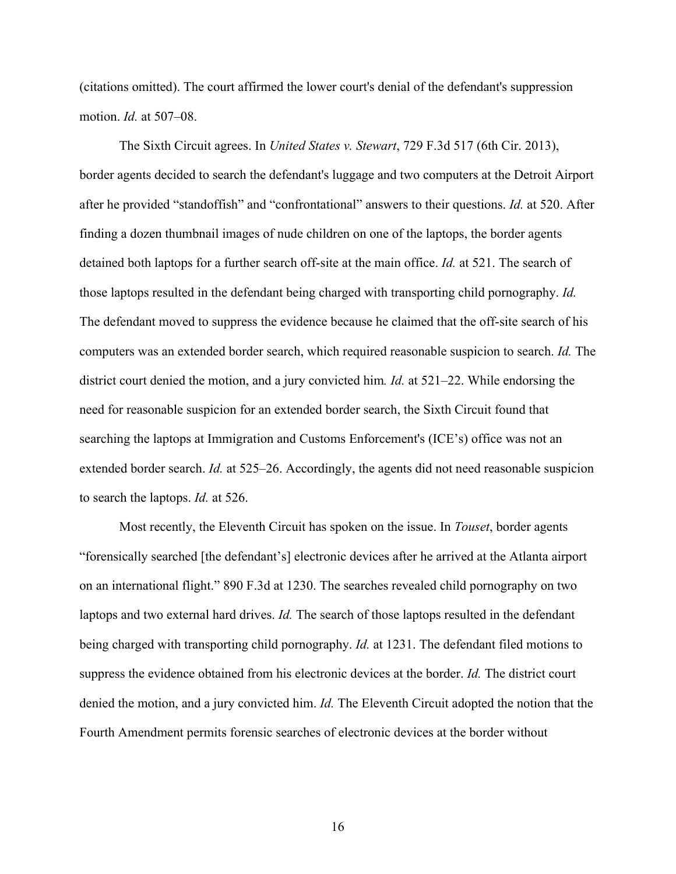(citations omitted). The court affirmed the lower court's denial of the defendant's suppression motion. *Id.* at 507–08.

The Sixth Circuit agrees. In *United States v. Stewart*, 729 F.3d 517 (6th Cir. 2013), border agents decided to search the defendant's luggage and two computers at the Detroit Airport after he provided "standoffish" and "confrontational" answers to their questions. *Id.* at 520. After finding a dozen thumbnail images of nude children on one of the laptops, the border agents detained both laptops for a further search off-site at the main office. *Id.* at 521. The search of those laptops resulted in the defendant being charged with transporting child pornography. *Id.* The defendant moved to suppress the evidence because he claimed that the off-site search of his computers was an extended border search, which required reasonable suspicion to search. *Id.* The district court denied the motion, and a jury convicted him*. Id.* at 521–22. While endorsing the need for reasonable suspicion for an extended border search, the Sixth Circuit found that searching the laptops at Immigration and Customs Enforcement's (ICE's) office was not an extended border search. *Id.* at 525–26. Accordingly, the agents did not need reasonable suspicion to search the laptops. *Id.* at 526.

Most recently, the Eleventh Circuit has spoken on the issue. In *Touset*, border agents "forensically searched [the defendant's] electronic devices after he arrived at the Atlanta airport on an international flight." 890 F.3d at 1230. The searches revealed child pornography on two laptops and two external hard drives. *Id.* The search of those laptops resulted in the defendant being charged with transporting child pornography. *Id.* at 1231. The defendant filed motions to suppress the evidence obtained from his electronic devices at the border. *Id.* The district court denied the motion, and a jury convicted him. *Id.* The Eleventh Circuit adopted the notion that the Fourth Amendment permits forensic searches of electronic devices at the border without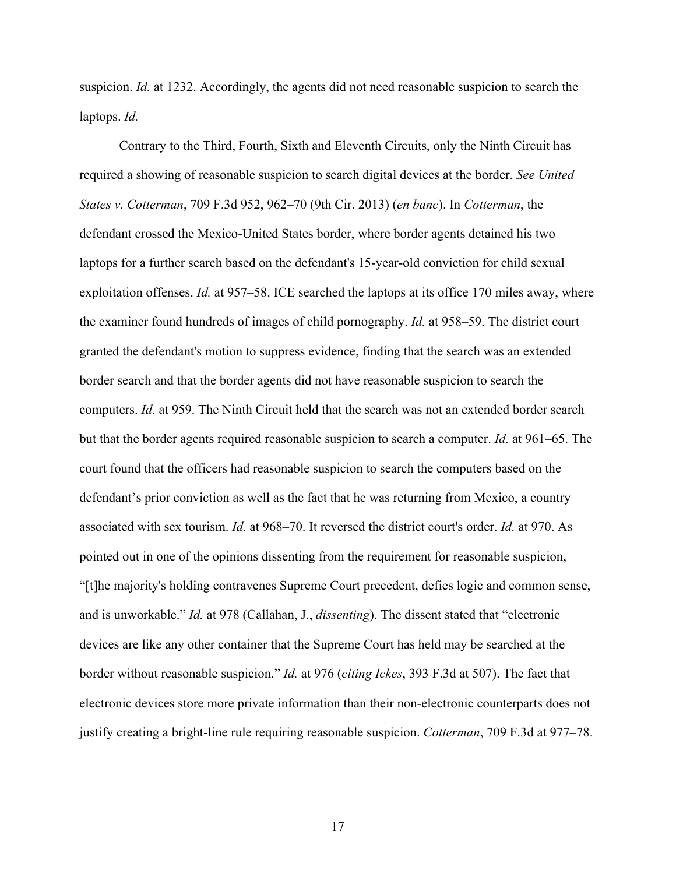suspicion. *Id.* at 1232. Accordingly, the agents did not need reasonable suspicion to search the laptops. *Id.*

Contrary to the Third, Fourth, Sixth and Eleventh Circuits, only the Ninth Circuit has required a showing of reasonable suspicion to search digital devices at the border. *See United States v. Cotterman*, 709 F.3d 952, 962–70 (9th Cir. 2013) (*en banc*). In *Cotterman*, the defendant crossed the Mexico-United States border, where border agents detained his two laptops for a further search based on the defendant's 15-year-old conviction for child sexual exploitation offenses. *Id.* at 957–58. ICE searched the laptops at its office 170 miles away, where the examiner found hundreds of images of child pornography. *Id.* at 958–59. The district court granted the defendant's motion to suppress evidence, finding that the search was an extended border search and that the border agents did not have reasonable suspicion to search the computers. *Id.* at 959. The Ninth Circuit held that the search was not an extended border search but that the border agents required reasonable suspicion to search a computer. *Id.* at 961–65. The court found that the officers had reasonable suspicion to search the computers based on the defendant's prior conviction as well as the fact that he was returning from Mexico, a country associated with sex tourism. *Id.* at 968–70. It reversed the district court's order. *Id.* at 970. As pointed out in one of the opinions dissenting from the requirement for reasonable suspicion, "[t]he majority's holding contravenes Supreme Court precedent, defies logic and common sense, and is unworkable." *Id.* at 978 (Callahan, J., *dissenting*). The dissent stated that "electronic devices are like any other container that the Supreme Court has held may be searched at the border without reasonable suspicion." *Id.* at 976 (*citing Ickes*, 393 F.3d at 507). The fact that electronic devices store more private information than their non-electronic counterparts does not justify creating a bright-line rule requiring reasonable suspicion. *Cotterman*, 709 F.3d at 977–78.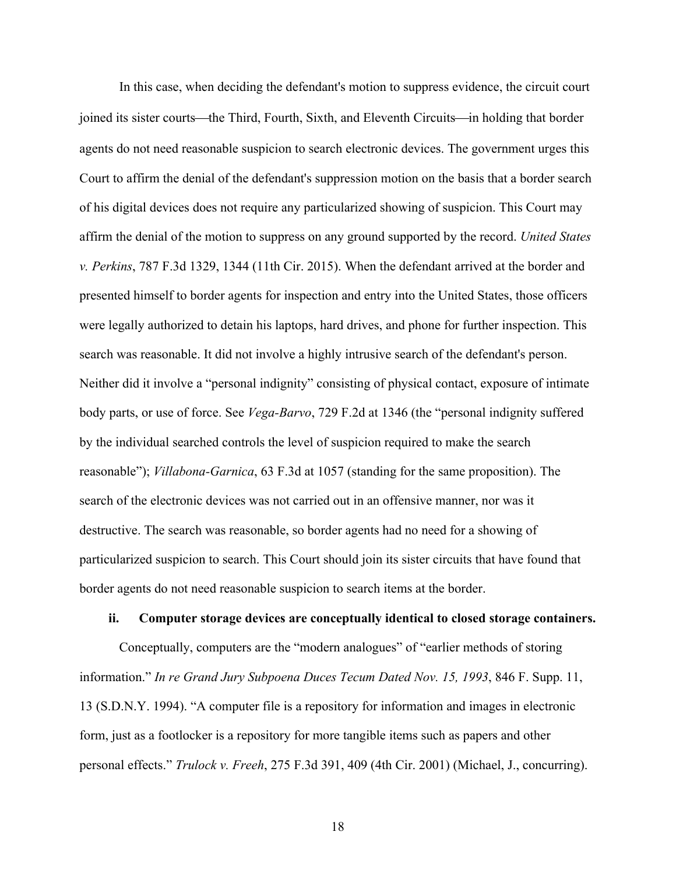In this case, when deciding the defendant's motion to suppress evidence, the circuit court joined its sister courts—the Third, Fourth, Sixth, and Eleventh Circuits—in holding that border agents do not need reasonable suspicion to search electronic devices. The government urges this Court to affirm the denial of the defendant's suppression motion on the basis that a border search of his digital devices does not require any particularized showing of suspicion. This Court may affirm the denial of the motion to suppress on any ground supported by the record. *United States v. Perkins*, 787 F.3d 1329, 1344 (11th Cir. 2015). When the defendant arrived at the border and presented himself to border agents for inspection and entry into the United States, those officers were legally authorized to detain his laptops, hard drives, and phone for further inspection. This search was reasonable. It did not involve a highly intrusive search of the defendant's person. Neither did it involve a "personal indignity" consisting of physical contact, exposure of intimate body parts, or use of force. See *Vega-Barvo*, 729 F.2d at 1346 (the "personal indignity suffered by the individual searched controls the level of suspicion required to make the search reasonable"); *Villabona-Garnica*, 63 F.3d at 1057 (standing for the same proposition). The search of the electronic devices was not carried out in an offensive manner, nor was it destructive. The search was reasonable, so border agents had no need for a showing of particularized suspicion to search. This Court should join its sister circuits that have found that border agents do not need reasonable suspicion to search items at the border.

#### **ii. Computer storage devices are conceptually identical to closed storage containers.**

Conceptually, computers are the "modern analogues" of "earlier methods of storing information." *In re Grand Jury Subpoena Duces Tecum Dated Nov. 15, 1993*, 846 F. Supp. 11, 13 (S.D.N.Y. 1994). "A computer file is a repository for information and images in electronic form, just as a footlocker is a repository for more tangible items such as papers and other personal effects." *Trulock v. Freeh*, 275 F.3d 391, 409 (4th Cir. 2001) (Michael, J., concurring).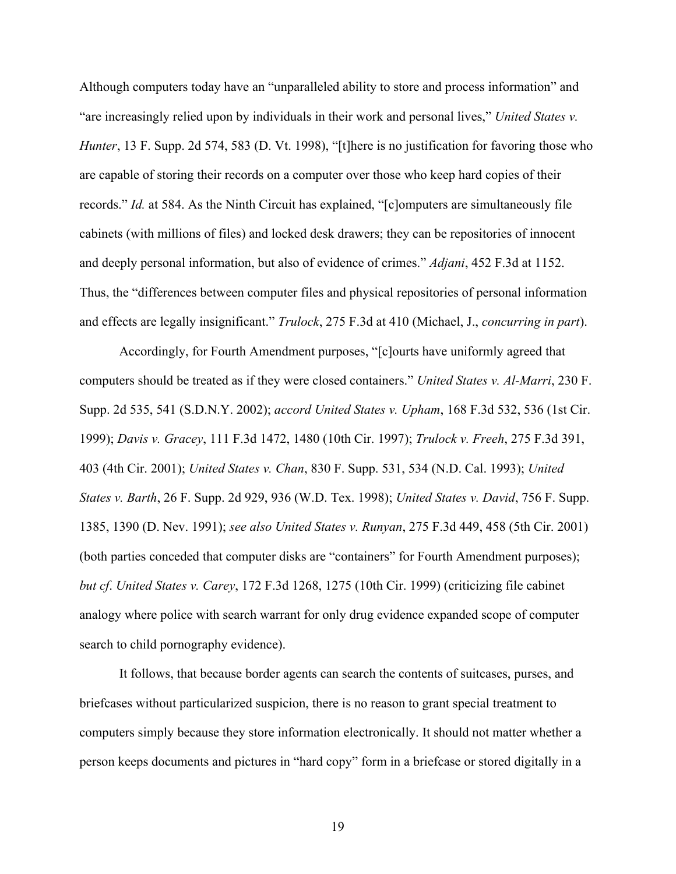Although computers today have an "unparalleled ability to store and process information" and "are increasingly relied upon by individuals in their work and personal lives," *United States v. Hunter*, 13 F. Supp. 2d 574, 583 (D. Vt. 1998), "[t]here is no justification for favoring those who are capable of storing their records on a computer over those who keep hard copies of their records." *Id.* at 584. As the Ninth Circuit has explained, "[c]omputers are simultaneously file cabinets (with millions of files) and locked desk drawers; they can be repositories of innocent and deeply personal information, but also of evidence of crimes." *Adjani*, 452 F.3d at 1152. Thus, the "differences between computer files and physical repositories of personal information and effects are legally insignificant." *Trulock*, 275 F.3d at 410 (Michael, J., *concurring in part*).

Accordingly, for Fourth Amendment purposes, "[c]ourts have uniformly agreed that computers should be treated as if they were closed containers." *United States v. Al-Marri*, 230 F. Supp. 2d 535, 541 (S.D.N.Y. 2002); *accord United States v. Upham*, 168 F.3d 532, 536 (1st Cir. 1999); *Davis v. Gracey*, 111 F.3d 1472, 1480 (10th Cir. 1997); *Trulock v. Freeh*, 275 F.3d 391, 403 (4th Cir. 2001); *United States v. Chan*, 830 F. Supp. 531, 534 (N.D. Cal. 1993); *United States v. Barth*, 26 F. Supp. 2d 929, 936 (W.D. Tex. 1998); *United States v. David*, 756 F. Supp. 1385, 1390 (D. Nev. 1991); *see also United States v. Runyan*, 275 F.3d 449, 458 (5th Cir. 2001) (both parties conceded that computer disks are "containers" for Fourth Amendment purposes); *but cf*. *United States v. Carey*, 172 F.3d 1268, 1275 (10th Cir. 1999) (criticizing file cabinet analogy where police with search warrant for only drug evidence expanded scope of computer search to child pornography evidence).

It follows, that because border agents can search the contents of suitcases, purses, and briefcases without particularized suspicion, there is no reason to grant special treatment to computers simply because they store information electronically. It should not matter whether a person keeps documents and pictures in "hard copy" form in a briefcase or stored digitally in a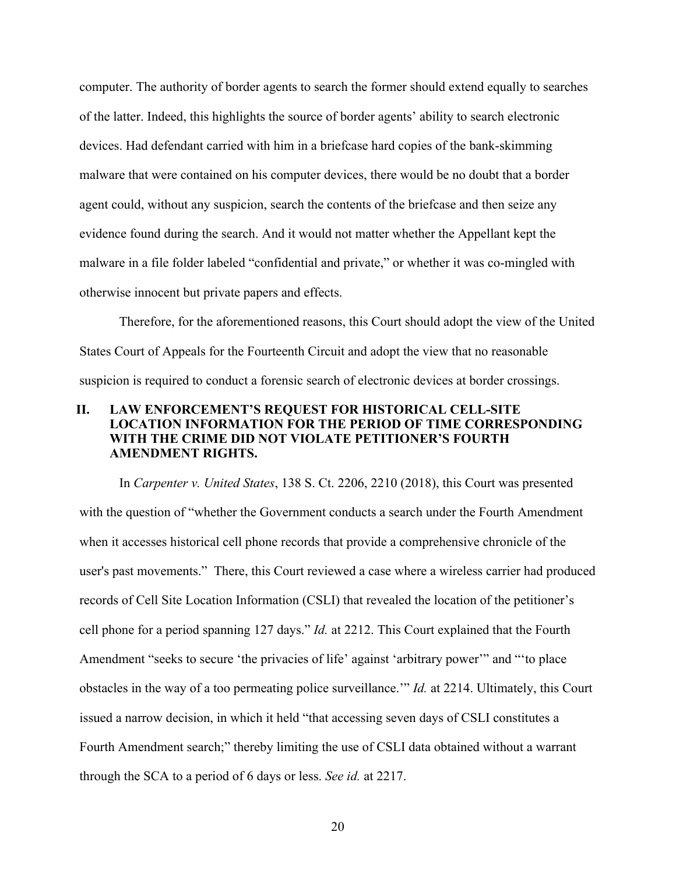computer. The authority of border agents to search the former should extend equally to searches of the latter. Indeed, this highlights the source of border agents' ability to search electronic devices. Had defendant carried with him in a briefcase hard copies of the bank-skimming malware that were contained on his computer devices, there would be no doubt that a border agent could, without any suspicion, search the contents of the briefcase and then seize any evidence found during the search. And it would not matter whether the Appellant kept the malware in a file folder labeled "confidential and private," or whether it was co-mingled with otherwise innocent but private papers and effects.

Therefore, for the aforementioned reasons, this Court should adopt the view of the United States Court of Appeals for the Fourteenth Circuit and adopt the view that no reasonable suspicion is required to conduct a forensic search of electronic devices at border crossings.

### **II. LAW ENFORCEMENT'S REQUEST FOR HISTORICAL CELL-SITE LOCATION INFORMATION FOR THE PERIOD OF TIME CORRESPONDING WITH THE CRIME DID NOT VIOLATE PETITIONER'S FOURTH AMENDMENT RIGHTS.**

In *Carpenter v. United States*, 138 S. Ct. 2206, 2210 (2018), this Court was presented with the question of "whether the Government conducts a search under the Fourth Amendment when it accesses historical cell phone records that provide a comprehensive chronicle of the user's past movements." There, this Court reviewed a case where a wireless carrier had produced records of Cell Site Location Information (CSLI) that revealed the location of the petitioner's cell phone for a period spanning 127 days." *Id.* at 2212. This Court explained that the Fourth Amendment "seeks to secure 'the privacies of life' against 'arbitrary power'" and "'to place obstacles in the way of a too permeating police surveillance.'" *Id.* at 2214. Ultimately, this Court issued a narrow decision, in which it held "that accessing seven days of CSLI constitutes a Fourth Amendment search;" thereby limiting the use of CSLI data obtained without a warrant through the SCA to a period of 6 days or less. *See id.* at 2217.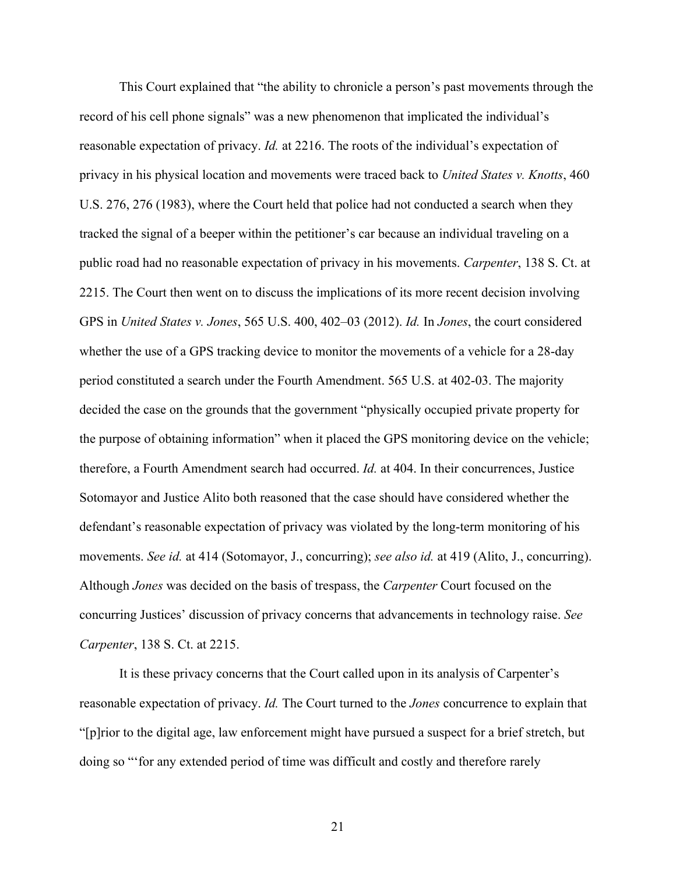This Court explained that "the ability to chronicle a person's past movements through the record of his cell phone signals" was a new phenomenon that implicated the individual's reasonable expectation of privacy. *Id.* at 2216. The roots of the individual's expectation of privacy in his physical location and movements were traced back to *United States v. Knotts*, 460 U.S. 276, 276 (1983), where the Court held that police had not conducted a search when they tracked the signal of a beeper within the petitioner's car because an individual traveling on a public road had no reasonable expectation of privacy in his movements. *Carpenter*, 138 S. Ct. at 2215. The Court then went on to discuss the implications of its more recent decision involving GPS in *United States v. Jones*, 565 U.S. 400, 402–03 (2012). *Id.* In *Jones*, the court considered whether the use of a GPS tracking device to monitor the movements of a vehicle for a 28-day period constituted a search under the Fourth Amendment. 565 U.S. at 402-03. The majority decided the case on the grounds that the government "physically occupied private property for the purpose of obtaining information" when it placed the GPS monitoring device on the vehicle; therefore, a Fourth Amendment search had occurred. *Id.* at 404. In their concurrences, Justice Sotomayor and Justice Alito both reasoned that the case should have considered whether the defendant's reasonable expectation of privacy was violated by the long-term monitoring of his movements. *See id.* at 414 (Sotomayor, J., concurring); *see also id.* at 419 (Alito, J., concurring). Although *Jones* was decided on the basis of trespass, the *Carpenter* Court focused on the concurring Justices' discussion of privacy concerns that advancements in technology raise. *See Carpenter*, 138 S. Ct. at 2215.

It is these privacy concerns that the Court called upon in its analysis of Carpenter's reasonable expectation of privacy. *Id.* The Court turned to the *Jones* concurrence to explain that "[p]rior to the digital age, law enforcement might have pursued a suspect for a brief stretch, but doing so "'for any extended period of time was difficult and costly and therefore rarely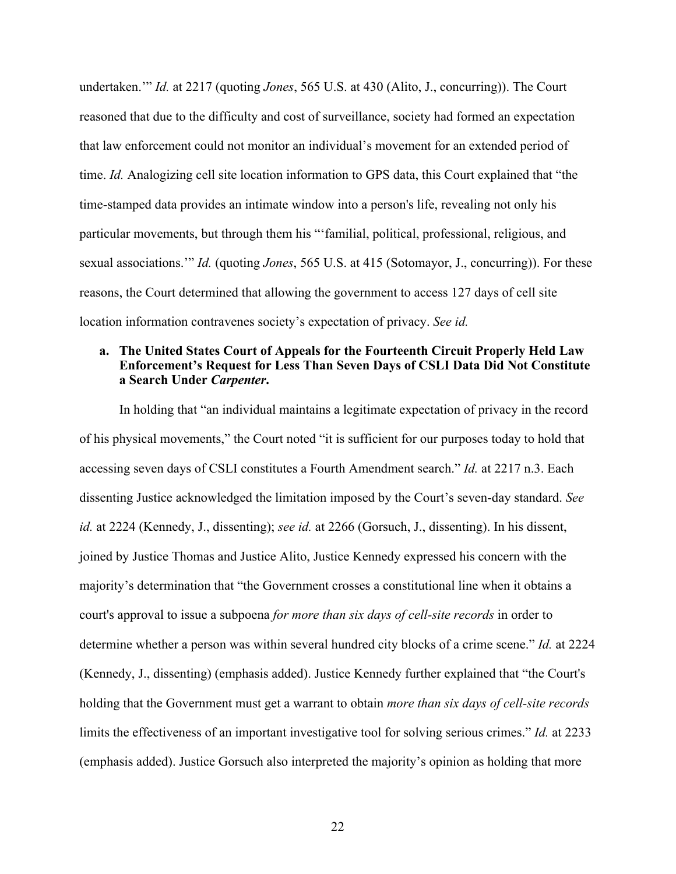undertaken.'" *Id.* at 2217 (quoting *Jones*, 565 U.S. at 430 (Alito, J., concurring)). The Court reasoned that due to the difficulty and cost of surveillance, society had formed an expectation that law enforcement could not monitor an individual's movement for an extended period of time. *Id.* Analogizing cell site location information to GPS data, this Court explained that "the time-stamped data provides an intimate window into a person's life, revealing not only his particular movements, but through them his "'familial, political, professional, religious, and sexual associations.'" *Id.* (quoting *Jones*, 565 U.S. at 415 (Sotomayor, J., concurring)). For these reasons, the Court determined that allowing the government to access 127 days of cell site location information contravenes society's expectation of privacy. *See id.*

## **a. The United States Court of Appeals for the Fourteenth Circuit Properly Held Law Enforcement's Request for Less Than Seven Days of CSLI Data Did Not Constitute a Search Under** *Carpenter***.**

In holding that "an individual maintains a legitimate expectation of privacy in the record of his physical movements," the Court noted "it is sufficient for our purposes today to hold that accessing seven days of CSLI constitutes a Fourth Amendment search." *Id.* at 2217 n.3. Each dissenting Justice acknowledged the limitation imposed by the Court's seven-day standard. *See id.* at 2224 (Kennedy, J., dissenting); *see id.* at 2266 (Gorsuch, J., dissenting). In his dissent, joined by Justice Thomas and Justice Alito, Justice Kennedy expressed his concern with the majority's determination that "the Government crosses a constitutional line when it obtains a court's approval to issue a subpoena *for more than six days of cell-site records* in order to determine whether a person was within several hundred city blocks of a crime scene." *Id.* at 2224 (Kennedy, J., dissenting) (emphasis added). Justice Kennedy further explained that "the Court's holding that the Government must get a warrant to obtain *more than six days of cell-site records* limits the effectiveness of an important investigative tool for solving serious crimes." *Id.* at 2233 (emphasis added). Justice Gorsuch also interpreted the majority's opinion as holding that more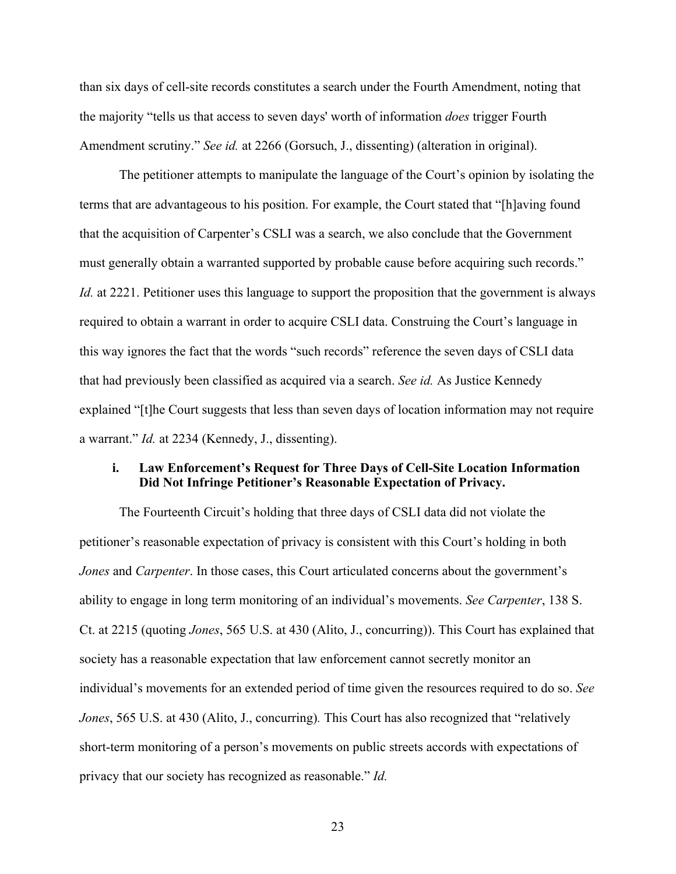than six days of cell-site records constitutes a search under the Fourth Amendment, noting that the majority "tells us that access to seven days' worth of information *does* trigger Fourth Amendment scrutiny." *See id.* at 2266 (Gorsuch, J., dissenting) (alteration in original).

The petitioner attempts to manipulate the language of the Court's opinion by isolating the terms that are advantageous to his position. For example, the Court stated that "[h]aving found that the acquisition of Carpenter's CSLI was a search, we also conclude that the Government must generally obtain a warranted supported by probable cause before acquiring such records." *Id.* at 2221. Petitioner uses this language to support the proposition that the government is always required to obtain a warrant in order to acquire CSLI data. Construing the Court's language in this way ignores the fact that the words "such records" reference the seven days of CSLI data that had previously been classified as acquired via a search. *See id.* As Justice Kennedy explained "[t]he Court suggests that less than seven days of location information may not require a warrant." *Id.* at 2234 (Kennedy, J., dissenting).

#### **i. Law Enforcement's Request for Three Days of Cell-Site Location Information Did Not Infringe Petitioner's Reasonable Expectation of Privacy.**

The Fourteenth Circuit's holding that three days of CSLI data did not violate the petitioner's reasonable expectation of privacy is consistent with this Court's holding in both *Jones* and *Carpenter*. In those cases, this Court articulated concerns about the government's ability to engage in long term monitoring of an individual's movements. *See Carpenter*, 138 S. Ct. at 2215 (quoting *Jones*, 565 U.S. at 430 (Alito, J., concurring)). This Court has explained that society has a reasonable expectation that law enforcement cannot secretly monitor an individual's movements for an extended period of time given the resources required to do so. *See Jones*, 565 U.S. at 430 (Alito, J., concurring)*.* This Court has also recognized that "relatively short-term monitoring of a person's movements on public streets accords with expectations of privacy that our society has recognized as reasonable." *Id.*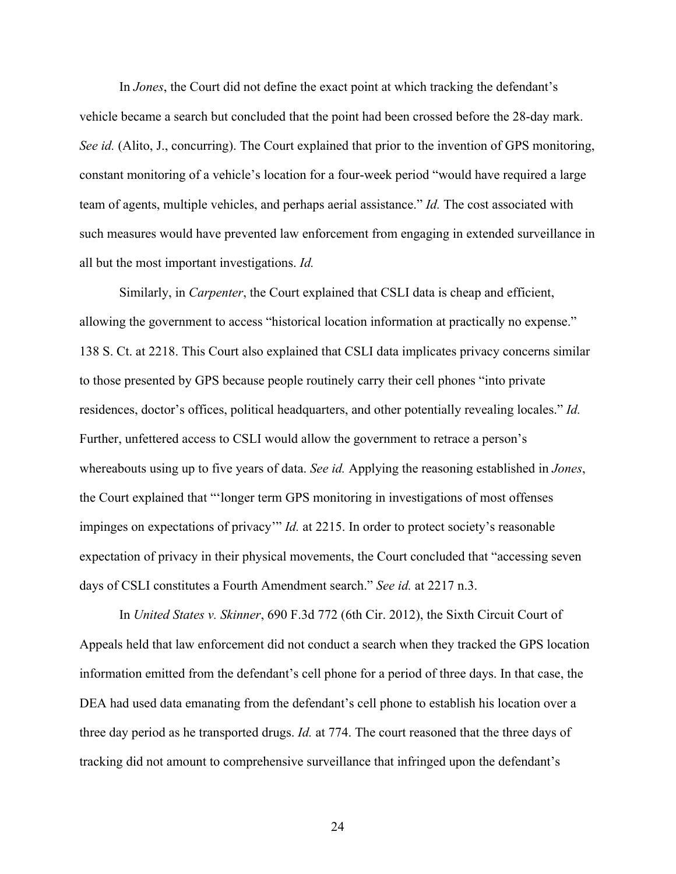In *Jones*, the Court did not define the exact point at which tracking the defendant's vehicle became a search but concluded that the point had been crossed before the 28-day mark. *See id.* (Alito, J., concurring). The Court explained that prior to the invention of GPS monitoring, constant monitoring of a vehicle's location for a four-week period "would have required a large team of agents, multiple vehicles, and perhaps aerial assistance." *Id.* The cost associated with such measures would have prevented law enforcement from engaging in extended surveillance in all but the most important investigations. *Id.* 

Similarly, in *Carpenter*, the Court explained that CSLI data is cheap and efficient, allowing the government to access "historical location information at practically no expense." 138 S. Ct. at 2218. This Court also explained that CSLI data implicates privacy concerns similar to those presented by GPS because people routinely carry their cell phones "into private residences, doctor's offices, political headquarters, and other potentially revealing locales." *Id.* Further, unfettered access to CSLI would allow the government to retrace a person's whereabouts using up to five years of data. *See id.* Applying the reasoning established in *Jones*, the Court explained that "'longer term GPS monitoring in investigations of most offenses impinges on expectations of privacy'" *Id.* at 2215. In order to protect society's reasonable expectation of privacy in their physical movements, the Court concluded that "accessing seven days of CSLI constitutes a Fourth Amendment search." *See id.* at 2217 n.3.

In *United States v. Skinner*, 690 F.3d 772 (6th Cir. 2012), the Sixth Circuit Court of Appeals held that law enforcement did not conduct a search when they tracked the GPS location information emitted from the defendant's cell phone for a period of three days. In that case, the DEA had used data emanating from the defendant's cell phone to establish his location over a three day period as he transported drugs. *Id.* at 774. The court reasoned that the three days of tracking did not amount to comprehensive surveillance that infringed upon the defendant's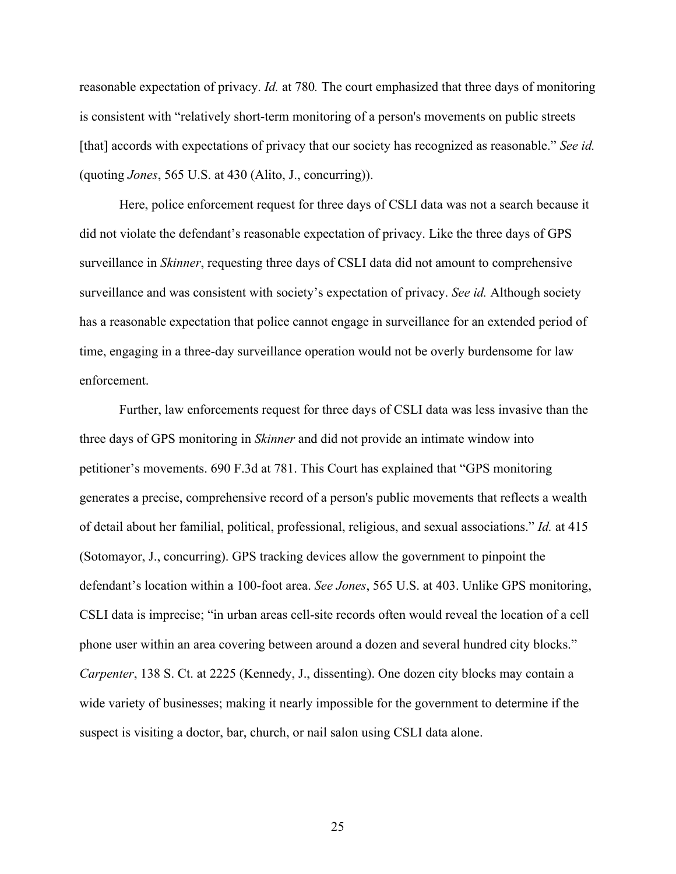reasonable expectation of privacy. *Id.* at 780*.* The court emphasized that three days of monitoring is consistent with "relatively short-term monitoring of a person's movements on public streets [that] accords with expectations of privacy that our society has recognized as reasonable." *See id.* (quoting *Jones*, 565 U.S. at 430 (Alito, J., concurring)).

Here, police enforcement request for three days of CSLI data was not a search because it did not violate the defendant's reasonable expectation of privacy. Like the three days of GPS surveillance in *Skinner*, requesting three days of CSLI data did not amount to comprehensive surveillance and was consistent with society's expectation of privacy. *See id.* Although society has a reasonable expectation that police cannot engage in surveillance for an extended period of time, engaging in a three-day surveillance operation would not be overly burdensome for law enforcement.

Further, law enforcements request for three days of CSLI data was less invasive than the three days of GPS monitoring in *Skinner* and did not provide an intimate window into petitioner's movements. 690 F.3d at 781. This Court has explained that "GPS monitoring generates a precise, comprehensive record of a person's public movements that reflects a wealth of detail about her familial, political, professional, religious, and sexual associations." *Id.* at 415 (Sotomayor, J., concurring). GPS tracking devices allow the government to pinpoint the defendant's location within a 100-foot area. *See Jones*, 565 U.S. at 403. Unlike GPS monitoring, CSLI data is imprecise; "in urban areas cell-site records often would reveal the location of a cell phone user within an area covering between around a dozen and several hundred city blocks." *Carpenter*, 138 S. Ct. at 2225 (Kennedy, J., dissenting). One dozen city blocks may contain a wide variety of businesses; making it nearly impossible for the government to determine if the suspect is visiting a doctor, bar, church, or nail salon using CSLI data alone.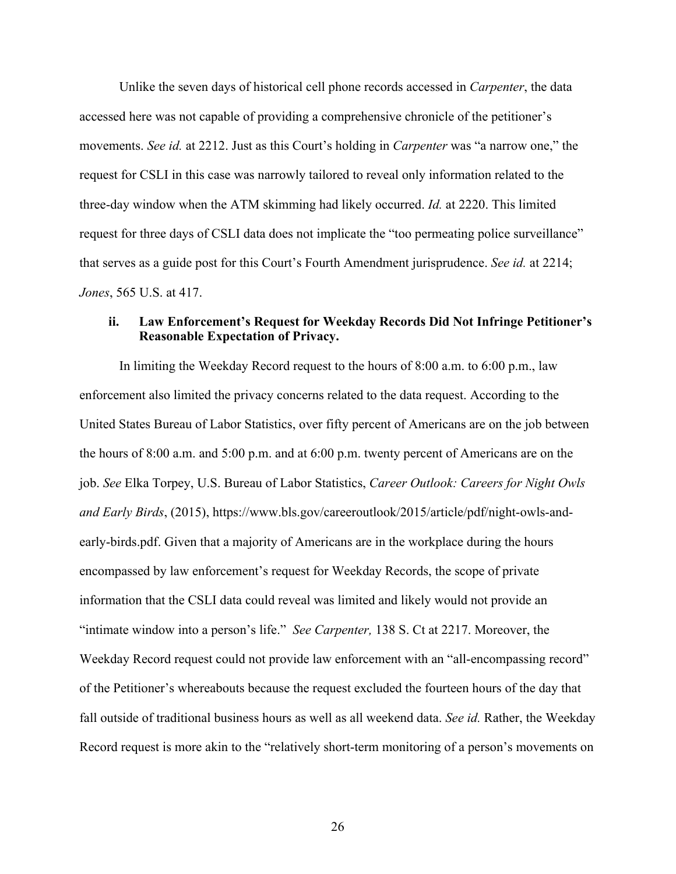Unlike the seven days of historical cell phone records accessed in *Carpenter*, the data accessed here was not capable of providing a comprehensive chronicle of the petitioner's movements. *See id.* at 2212. Just as this Court's holding in *Carpenter* was "a narrow one," the request for CSLI in this case was narrowly tailored to reveal only information related to the three-day window when the ATM skimming had likely occurred. *Id.* at 2220. This limited request for three days of CSLI data does not implicate the "too permeating police surveillance" that serves as a guide post for this Court's Fourth Amendment jurisprudence. *See id.* at 2214; *Jones*, 565 U.S. at 417.

#### **ii. Law Enforcement's Request for Weekday Records Did Not Infringe Petitioner's Reasonable Expectation of Privacy.**

In limiting the Weekday Record request to the hours of 8:00 a.m. to 6:00 p.m., law enforcement also limited the privacy concerns related to the data request. According to the United States Bureau of Labor Statistics, over fifty percent of Americans are on the job between the hours of 8:00 a.m. and 5:00 p.m. and at 6:00 p.m. twenty percent of Americans are on the job. *See* Elka Torpey, U.S. Bureau of Labor Statistics, *Career Outlook: Careers for Night Owls and Early Birds*, (2015), https://www.bls.gov/careeroutlook/2015/article/pdf/night-owls-andearly-birds.pdf. Given that a majority of Americans are in the workplace during the hours encompassed by law enforcement's request for Weekday Records, the scope of private information that the CSLI data could reveal was limited and likely would not provide an "intimate window into a person's life." *See Carpenter,* 138 S. Ct at 2217. Moreover, the Weekday Record request could not provide law enforcement with an "all-encompassing record" of the Petitioner's whereabouts because the request excluded the fourteen hours of the day that fall outside of traditional business hours as well as all weekend data. *See id.* Rather, the Weekday Record request is more akin to the "relatively short-term monitoring of a person's movements on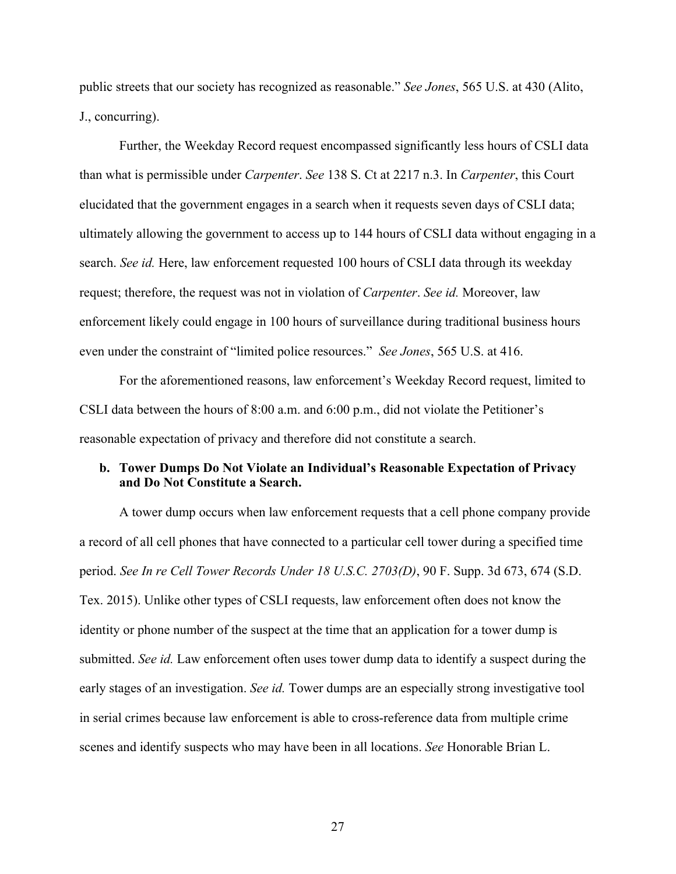public streets that our society has recognized as reasonable." *See Jones*, 565 U.S. at 430 (Alito, J., concurring).

Further, the Weekday Record request encompassed significantly less hours of CSLI data than what is permissible under *Carpenter*. *See* 138 S. Ct at 2217 n.3. In *Carpenter*, this Court elucidated that the government engages in a search when it requests seven days of CSLI data; ultimately allowing the government to access up to 144 hours of CSLI data without engaging in a search. *See id.* Here, law enforcement requested 100 hours of CSLI data through its weekday request; therefore, the request was not in violation of *Carpenter*. *See id.* Moreover, law enforcement likely could engage in 100 hours of surveillance during traditional business hours even under the constraint of "limited police resources." *See Jones*, 565 U.S. at 416.

For the aforementioned reasons, law enforcement's Weekday Record request, limited to CSLI data between the hours of 8:00 a.m. and 6:00 p.m., did not violate the Petitioner's reasonable expectation of privacy and therefore did not constitute a search.

## **b. Tower Dumps Do Not Violate an Individual's Reasonable Expectation of Privacy and Do Not Constitute a Search.**

A tower dump occurs when law enforcement requests that a cell phone company provide a record of all cell phones that have connected to a particular cell tower during a specified time period. *See In re Cell Tower Records Under 18 U.S.C. 2703(D)*, 90 F. Supp. 3d 673, 674 (S.D. Tex. 2015). Unlike other types of CSLI requests, law enforcement often does not know the identity or phone number of the suspect at the time that an application for a tower dump is submitted. *See id.* Law enforcement often uses tower dump data to identify a suspect during the early stages of an investigation. *See id.* Tower dumps are an especially strong investigative tool in serial crimes because law enforcement is able to cross-reference data from multiple crime scenes and identify suspects who may have been in all locations. *See* Honorable Brian L.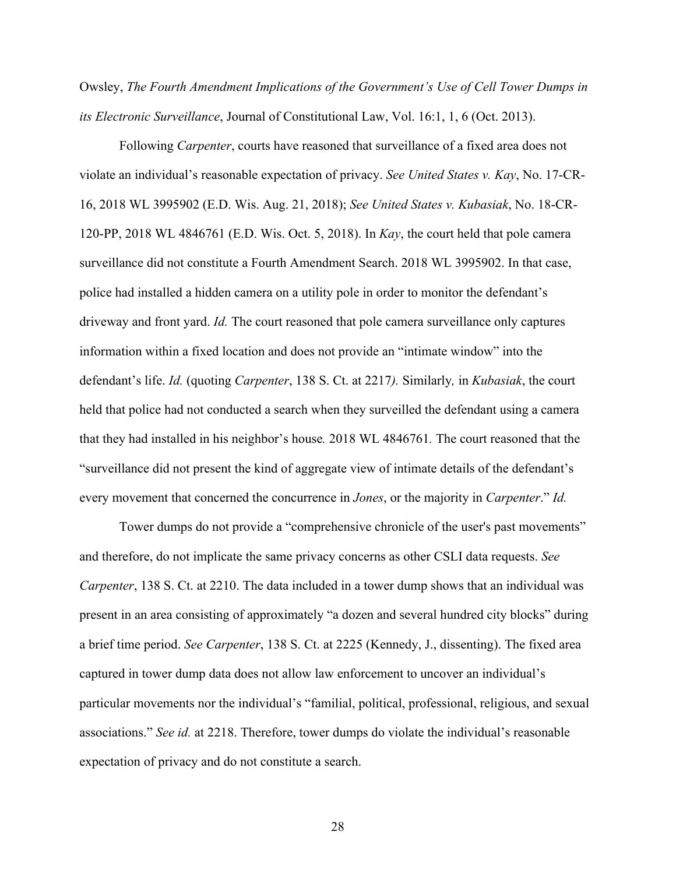Owsley, *The Fourth Amendment Implications of the Government's Use of Cell Tower Dumps in its Electronic Surveillance*, Journal of Constitutional Law, Vol. 16:1, 1, 6 (Oct. 2013).

Following *Carpenter*, courts have reasoned that surveillance of a fixed area does not violate an individual's reasonable expectation of privacy. *See United States v. Kay*, No. 17-CR-16, 2018 WL 3995902 (E.D. Wis. Aug. 21, 2018); *See United States v. Kubasiak*, No. 18-CR-120-PP, 2018 WL 4846761 (E.D. Wis. Oct. 5, 2018). In *Kay*, the court held that pole camera surveillance did not constitute a Fourth Amendment Search. 2018 WL 3995902. In that case, police had installed a hidden camera on a utility pole in order to monitor the defendant's driveway and front yard. *Id.* The court reasoned that pole camera surveillance only captures information within a fixed location and does not provide an "intimate window" into the defendant's life. *Id.* (quoting *Carpenter*, 138 S. Ct. at 2217*).* Similarly*,* in *Kubasiak*, the court held that police had not conducted a search when they surveilled the defendant using a camera that they had installed in his neighbor's house*.* 2018 WL 4846761*.* The court reasoned that the "surveillance did not present the kind of aggregate view of intimate details of the defendant's every movement that concerned the concurrence in *Jones*, or the majority in *Carpenter*." *Id.*

Tower dumps do not provide a "comprehensive chronicle of the user's past movements" and therefore, do not implicate the same privacy concerns as other CSLI data requests. *See Carpenter*, 138 S. Ct. at 2210. The data included in a tower dump shows that an individual was present in an area consisting of approximately "a dozen and several hundred city blocks" during a brief time period. *See Carpenter*, 138 S. Ct. at 2225 (Kennedy, J., dissenting). The fixed area captured in tower dump data does not allow law enforcement to uncover an individual's particular movements nor the individual's "familial, political, professional, religious, and sexual associations." *See id.* at 2218. Therefore, tower dumps do violate the individual's reasonable expectation of privacy and do not constitute a search.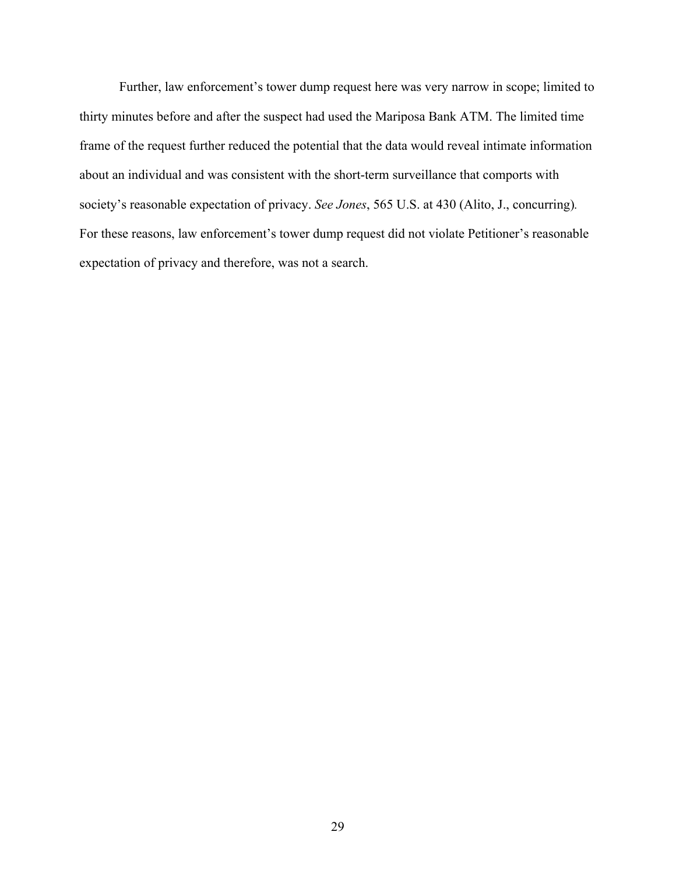Further, law enforcement's tower dump request here was very narrow in scope; limited to thirty minutes before and after the suspect had used the Mariposa Bank ATM. The limited time frame of the request further reduced the potential that the data would reveal intimate information about an individual and was consistent with the short-term surveillance that comports with society's reasonable expectation of privacy. *See Jones*, 565 U.S. at 430 (Alito, J., concurring)*.*  For these reasons, law enforcement's tower dump request did not violate Petitioner's reasonable expectation of privacy and therefore, was not a search.